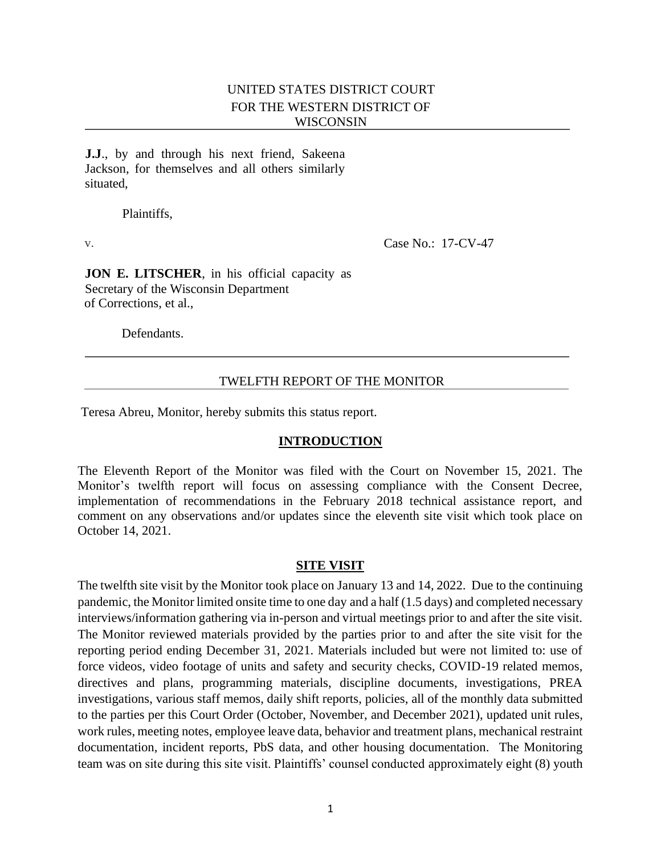# UNITED STATES DISTRICT COURT FOR THE WESTERN DISTRICT OF WISCONSIN

**J.J**., by and through his next friend, Sakeena Jackson, for themselves and all others similarly situated,

Plaintiffs,

v. **Case No.: 17-CV-47** 

**JON E. LITSCHER**, in his official capacity as Secretary of the Wisconsin Department of Corrections, et al.,

Defendants.

### TWELFTH REPORT OF THE MONITOR

Teresa Abreu, Monitor, hereby submits this status report.

### **INTRODUCTION**

The Eleventh Report of the Monitor was filed with the Court on November 15, 2021. The Monitor's twelfth report will focus on assessing compliance with the Consent Decree, implementation of recommendations in the February 2018 technical assistance report, and comment on any observations and/or updates since the eleventh site visit which took place on October 14, 2021.

### **SITE VISIT**

The twelfth site visit by the Monitor took place on January 13 and 14, 2022. Due to the continuing pandemic, the Monitor limited onsite time to one day and a half (1.5 days) and completed necessary interviews/information gathering via in-person and virtual meetings prior to and after the site visit. The Monitor reviewed materials provided by the parties prior to and after the site visit for the reporting period ending December 31, 2021. Materials included but were not limited to: use of force videos, video footage of units and safety and security checks, COVID-19 related memos, directives and plans, programming materials, discipline documents, investigations, PREA investigations, various staff memos, daily shift reports, policies, all of the monthly data submitted to the parties per this Court Order (October, November, and December 2021), updated unit rules, work rules, meeting notes, employee leave data, behavior and treatment plans, mechanical restraint documentation, incident reports, PbS data, and other housing documentation. The Monitoring team was on site during this site visit. Plaintiffs' counsel conducted approximately eight (8) youth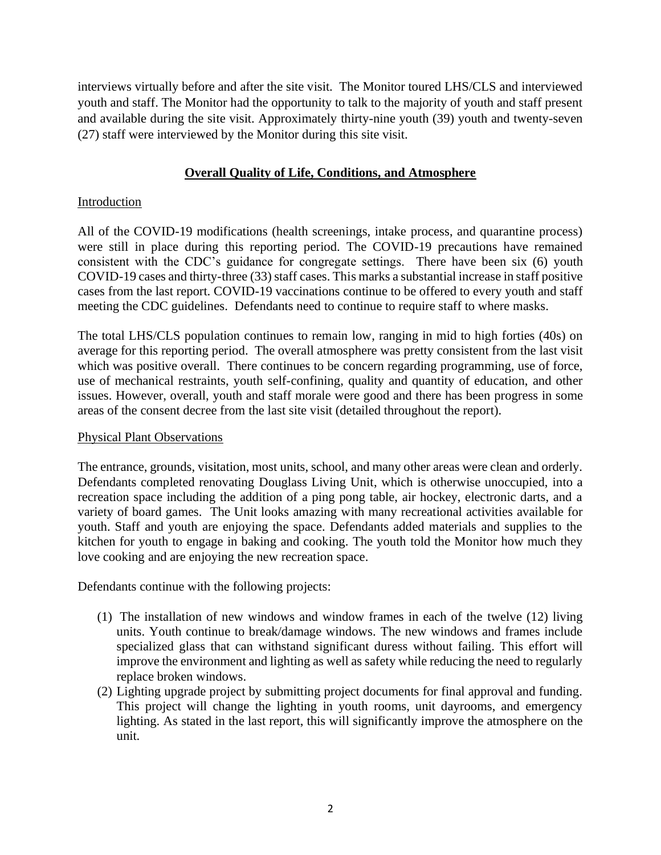interviews virtually before and after the site visit. The Monitor toured LHS/CLS and interviewed youth and staff. The Monitor had the opportunity to talk to the majority of youth and staff present and available during the site visit. Approximately thirty-nine youth (39) youth and twenty-seven (27) staff were interviewed by the Monitor during this site visit.

# **Overall Quality of Life, Conditions, and Atmosphere**

### Introduction

All of the COVID-19 modifications (health screenings, intake process, and quarantine process) were still in place during this reporting period. The COVID-19 precautions have remained consistent with the CDC's guidance for congregate settings. There have been six (6) youth COVID-19 cases and thirty-three (33) staff cases. This marks a substantial increase in staff positive cases from the last report. COVID-19 vaccinations continue to be offered to every youth and staff meeting the CDC guidelines. Defendants need to continue to require staff to where masks.

The total LHS/CLS population continues to remain low, ranging in mid to high forties (40s) on average for this reporting period. The overall atmosphere was pretty consistent from the last visit which was positive overall. There continues to be concern regarding programming, use of force, use of mechanical restraints, youth self-confining, quality and quantity of education, and other issues. However, overall, youth and staff morale were good and there has been progress in some areas of the consent decree from the last site visit (detailed throughout the report).

### Physical Plant Observations

The entrance, grounds, visitation, most units, school, and many other areas were clean and orderly. Defendants completed renovating Douglass Living Unit, which is otherwise unoccupied, into a recreation space including the addition of a ping pong table, air hockey, electronic darts, and a variety of board games. The Unit looks amazing with many recreational activities available for youth. Staff and youth are enjoying the space. Defendants added materials and supplies to the kitchen for youth to engage in baking and cooking. The youth told the Monitor how much they love cooking and are enjoying the new recreation space.

Defendants continue with the following projects:

- (1) The installation of new windows and window frames in each of the twelve (12) living units. Youth continue to break/damage windows. The new windows and frames include specialized glass that can withstand significant duress without failing. This effort will improve the environment and lighting as well as safety while reducing the need to regularly replace broken windows.
- (2) Lighting upgrade project by submitting project documents for final approval and funding. This project will change the lighting in youth rooms, unit dayrooms, and emergency lighting. As stated in the last report, this will significantly improve the atmosphere on the unit.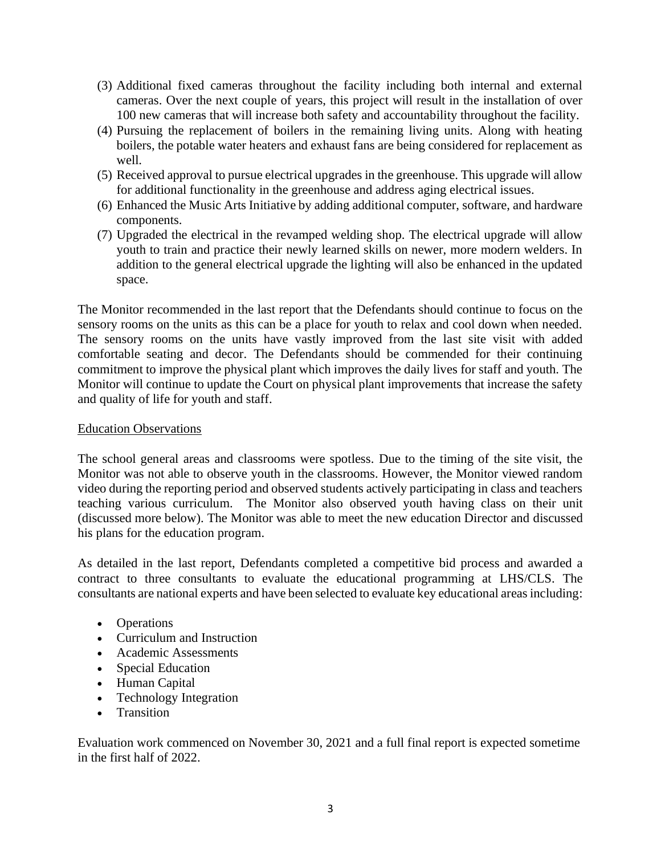- (3) Additional fixed cameras throughout the facility including both internal and external cameras. Over the next couple of years, this project will result in the installation of over 100 new cameras that will increase both safety and accountability throughout the facility.
- (4) Pursuing the replacement of boilers in the remaining living units. Along with heating boilers, the potable water heaters and exhaust fans are being considered for replacement as well.
- (5) Received approval to pursue electrical upgrades in the greenhouse. This upgrade will allow for additional functionality in the greenhouse and address aging electrical issues.
- (6) Enhanced the Music Arts Initiative by adding additional computer, software, and hardware components.
- (7) Upgraded the electrical in the revamped welding shop. The electrical upgrade will allow youth to train and practice their newly learned skills on newer, more modern welders. In addition to the general electrical upgrade the lighting will also be enhanced in the updated space.

The Monitor recommended in the last report that the Defendants should continue to focus on the sensory rooms on the units as this can be a place for youth to relax and cool down when needed. The sensory rooms on the units have vastly improved from the last site visit with added comfortable seating and decor. The Defendants should be commended for their continuing commitment to improve the physical plant which improves the daily lives for staff and youth. The Monitor will continue to update the Court on physical plant improvements that increase the safety and quality of life for youth and staff.

### Education Observations

The school general areas and classrooms were spotless. Due to the timing of the site visit, the Monitor was not able to observe youth in the classrooms. However, the Monitor viewed random video during the reporting period and observed students actively participating in class and teachers teaching various curriculum. The Monitor also observed youth having class on their unit (discussed more below). The Monitor was able to meet the new education Director and discussed his plans for the education program.

As detailed in the last report, Defendants completed a competitive bid process and awarded a contract to three consultants to evaluate the educational programming at LHS/CLS. The consultants are national experts and have been selected to evaluate key educational areas including:

- Operations
- Curriculum and Instruction
- Academic Assessments
- Special Education
- Human Capital
- Technology Integration
- Transition

Evaluation work commenced on November 30, 2021 and a full final report is expected sometime in the first half of 2022.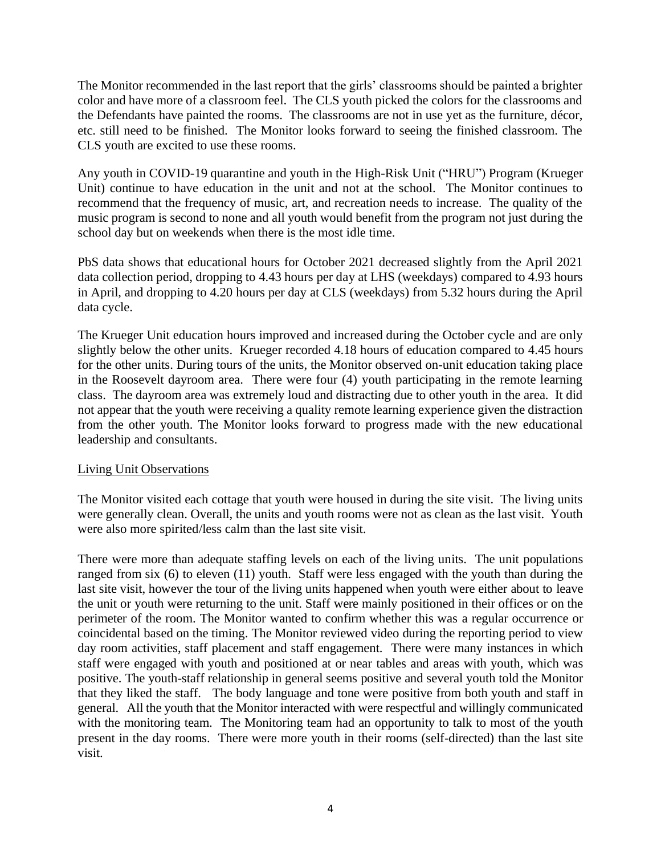The Monitor recommended in the last report that the girls' classrooms should be painted a brighter color and have more of a classroom feel. The CLS youth picked the colors for the classrooms and the Defendants have painted the rooms. The classrooms are not in use yet as the furniture, décor, etc. still need to be finished. The Monitor looks forward to seeing the finished classroom. The CLS youth are excited to use these rooms.

Any youth in COVID-19 quarantine and youth in the High-Risk Unit ("HRU") Program (Krueger Unit) continue to have education in the unit and not at the school. The Monitor continues to recommend that the frequency of music, art, and recreation needs to increase. The quality of the music program is second to none and all youth would benefit from the program not just during the school day but on weekends when there is the most idle time.

PbS data shows that educational hours for October 2021 decreased slightly from the April 2021 data collection period, dropping to 4.43 hours per day at LHS (weekdays) compared to 4.93 hours in April, and dropping to 4.20 hours per day at CLS (weekdays) from 5.32 hours during the April data cycle.

The Krueger Unit education hours improved and increased during the October cycle and are only slightly below the other units. Krueger recorded 4.18 hours of education compared to 4.45 hours for the other units. During tours of the units, the Monitor observed on-unit education taking place in the Roosevelt dayroom area. There were four (4) youth participating in the remote learning class. The dayroom area was extremely loud and distracting due to other youth in the area. It did not appear that the youth were receiving a quality remote learning experience given the distraction from the other youth. The Monitor looks forward to progress made with the new educational leadership and consultants.

### Living Unit Observations

The Monitor visited each cottage that youth were housed in during the site visit. The living units were generally clean. Overall, the units and youth rooms were not as clean as the last visit. Youth were also more spirited/less calm than the last site visit.

There were more than adequate staffing levels on each of the living units. The unit populations ranged from six (6) to eleven (11) youth. Staff were less engaged with the youth than during the last site visit, however the tour of the living units happened when youth were either about to leave the unit or youth were returning to the unit. Staff were mainly positioned in their offices or on the perimeter of the room. The Monitor wanted to confirm whether this was a regular occurrence or coincidental based on the timing. The Monitor reviewed video during the reporting period to view day room activities, staff placement and staff engagement. There were many instances in which staff were engaged with youth and positioned at or near tables and areas with youth, which was positive. The youth-staff relationship in general seems positive and several youth told the Monitor that they liked the staff. The body language and tone were positive from both youth and staff in general. All the youth that the Monitor interacted with were respectful and willingly communicated with the monitoring team. The Monitoring team had an opportunity to talk to most of the youth present in the day rooms. There were more youth in their rooms (self-directed) than the last site visit.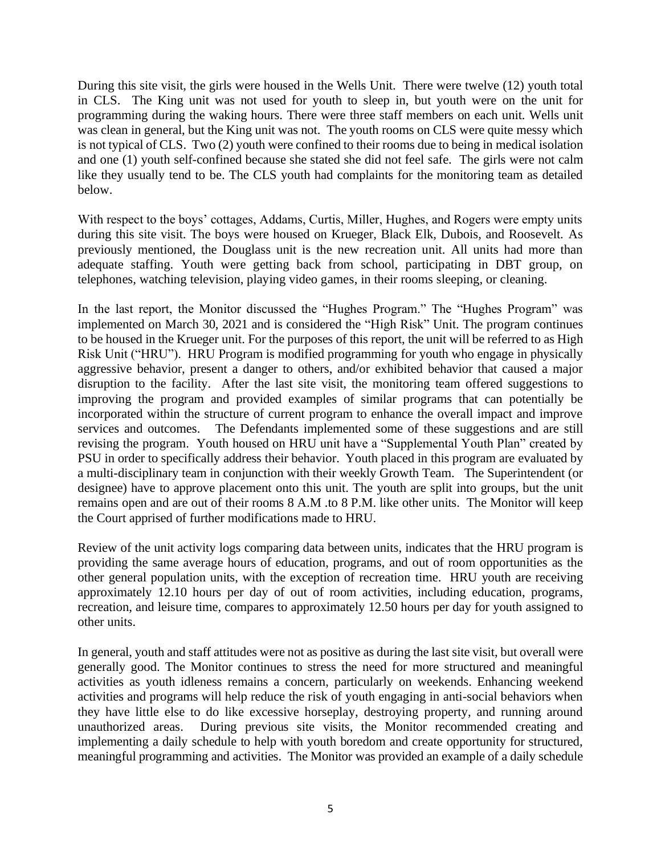During this site visit, the girls were housed in the Wells Unit. There were twelve (12) youth total in CLS. The King unit was not used for youth to sleep in, but youth were on the unit for programming during the waking hours. There were three staff members on each unit. Wells unit was clean in general, but the King unit was not. The youth rooms on CLS were quite messy which is not typical of CLS. Two (2) youth were confined to their rooms due to being in medical isolation and one (1) youth self-confined because she stated she did not feel safe. The girls were not calm like they usually tend to be. The CLS youth had complaints for the monitoring team as detailed below.

With respect to the boys' cottages, Addams, Curtis, Miller, Hughes, and Rogers were empty units during this site visit. The boys were housed on Krueger, Black Elk, Dubois, and Roosevelt. As previously mentioned, the Douglass unit is the new recreation unit. All units had more than adequate staffing. Youth were getting back from school, participating in DBT group, on telephones, watching television, playing video games, in their rooms sleeping, or cleaning.

In the last report, the Monitor discussed the "Hughes Program." The "Hughes Program" was implemented on March 30, 2021 and is considered the "High Risk" Unit. The program continues to be housed in the Krueger unit. For the purposes of this report, the unit will be referred to as High Risk Unit ("HRU"). HRU Program is modified programming for youth who engage in physically aggressive behavior, present a danger to others, and/or exhibited behavior that caused a major disruption to the facility. After the last site visit, the monitoring team offered suggestions to improving the program and provided examples of similar programs that can potentially be incorporated within the structure of current program to enhance the overall impact and improve services and outcomes. The Defendants implemented some of these suggestions and are still revising the program. Youth housed on HRU unit have a "Supplemental Youth Plan" created by PSU in order to specifically address their behavior. Youth placed in this program are evaluated by a multi-disciplinary team in conjunction with their weekly Growth Team. The Superintendent (or designee) have to approve placement onto this unit. The youth are split into groups, but the unit remains open and are out of their rooms 8 A.M .to 8 P.M. like other units. The Monitor will keep the Court apprised of further modifications made to HRU.

Review of the unit activity logs comparing data between units, indicates that the HRU program is providing the same average hours of education, programs, and out of room opportunities as the other general population units, with the exception of recreation time. HRU youth are receiving approximately 12.10 hours per day of out of room activities, including education, programs, recreation, and leisure time, compares to approximately 12.50 hours per day for youth assigned to other units.

In general, youth and staff attitudes were not as positive as during the last site visit, but overall were generally good. The Monitor continues to stress the need for more structured and meaningful activities as youth idleness remains a concern, particularly on weekends. Enhancing weekend activities and programs will help reduce the risk of youth engaging in anti-social behaviors when they have little else to do like excessive horseplay, destroying property, and running around unauthorized areas. During previous site visits, the Monitor recommended creating and implementing a daily schedule to help with youth boredom and create opportunity for structured, meaningful programming and activities. The Monitor was provided an example of a daily schedule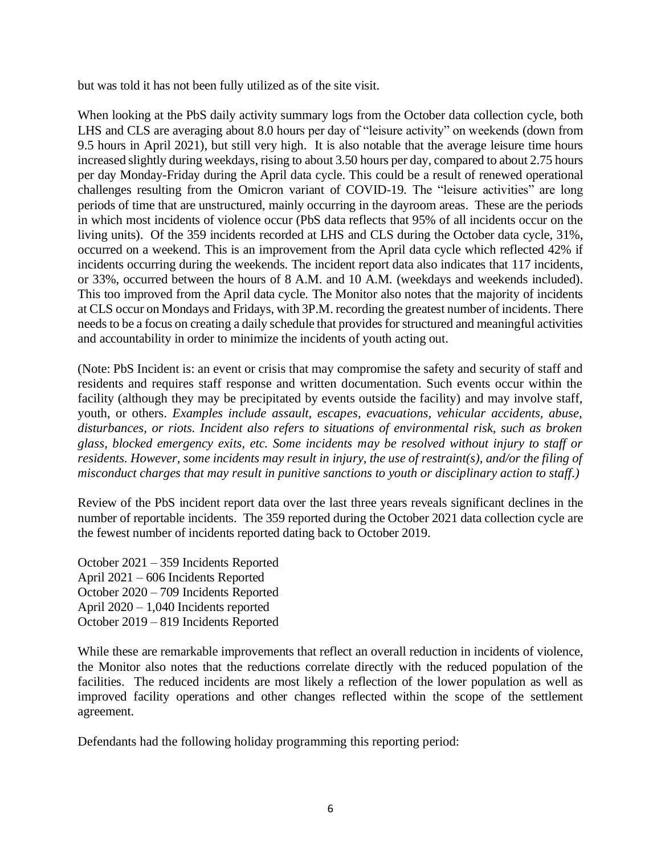but was told it has not been fully utilized as of the site visit.

When looking at the PbS daily activity summary logs from the October data collection cycle, both LHS and CLS are averaging about 8.0 hours per day of "leisure activity" on weekends (down from 9.5 hours in April 2021), but still very high. It is also notable that the average leisure time hours increased slightly during weekdays, rising to about 3.50 hours per day, compared to about 2.75 hours per day Monday-Friday during the April data cycle. This could be a result of renewed operational challenges resulting from the Omicron variant of COVID-19. The "leisure activities" are long periods of time that are unstructured, mainly occurring in the dayroom areas. These are the periods in which most incidents of violence occur (PbS data reflects that 95% of all incidents occur on the living units). Of the 359 incidents recorded at LHS and CLS during the October data cycle, 31%, occurred on a weekend. This is an improvement from the April data cycle which reflected 42% if incidents occurring during the weekends. The incident report data also indicates that 117 incidents, or 33%, occurred between the hours of 8 A.M. and 10 A.M. (weekdays and weekends included). This too improved from the April data cycle. The Monitor also notes that the majority of incidents at CLS occur on Mondays and Fridays, with 3P.M. recording the greatest number of incidents. There needs to be a focus on creating a daily schedule that provides for structured and meaningful activities and accountability in order to minimize the incidents of youth acting out.

(Note: PbS Incident is: an event or crisis that may compromise the safety and security of staff and residents and requires staff response and written documentation. Such events occur within the facility (although they may be precipitated by events outside the facility) and may involve staff, youth, or others. *Examples include assault, escapes, evacuations, vehicular accidents, abuse, disturbances, or riots. Incident also refers to situations of environmental risk, such as broken glass, blocked emergency exits, etc. Some incidents may be resolved without injury to staff or residents. However, some incidents may result in injury, the use of restraint(s), and/or the filing of misconduct charges that may result in punitive sanctions to youth or disciplinary action to staff.)*

Review of the PbS incident report data over the last three years reveals significant declines in the number of reportable incidents. The 359 reported during the October 2021 data collection cycle are the fewest number of incidents reported dating back to October 2019.

October 2021 – 359 Incidents Reported April 2021 – 606 Incidents Reported October 2020 – 709 Incidents Reported April 2020 – 1,040 Incidents reported October 2019 – 819 Incidents Reported

While these are remarkable improvements that reflect an overall reduction in incidents of violence, the Monitor also notes that the reductions correlate directly with the reduced population of the facilities. The reduced incidents are most likely a reflection of the lower population as well as improved facility operations and other changes reflected within the scope of the settlement agreement.

Defendants had the following holiday programming this reporting period: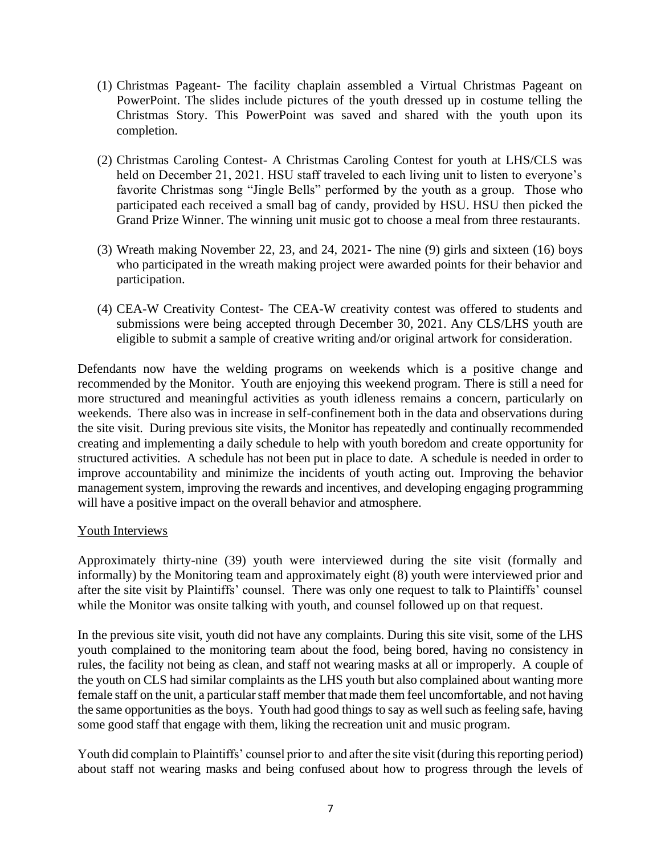- (1) Christmas Pageant- The facility chaplain assembled a Virtual Christmas Pageant on PowerPoint. The slides include pictures of the youth dressed up in costume telling the Christmas Story. This PowerPoint was saved and shared with the youth upon its completion.
- (2) Christmas Caroling Contest- A Christmas Caroling Contest for youth at LHS/CLS was held on December 21, 2021. HSU staff traveled to each living unit to listen to everyone's favorite Christmas song "Jingle Bells" performed by the youth as a group. Those who participated each received a small bag of candy, provided by HSU. HSU then picked the Grand Prize Winner. The winning unit music got to choose a meal from three restaurants.
- (3) Wreath making November 22, 23, and 24, 2021- The nine (9) girls and sixteen (16) boys who participated in the wreath making project were awarded points for their behavior and participation.
- (4) CEA-W Creativity Contest- The CEA-W creativity contest was offered to students and submissions were being accepted through December 30, 2021. Any CLS/LHS youth are eligible to submit a sample of creative writing and/or original artwork for consideration.

Defendants now have the welding programs on weekends which is a positive change and recommended by the Monitor. Youth are enjoying this weekend program. There is still a need for more structured and meaningful activities as youth idleness remains a concern, particularly on weekends. There also was in increase in self-confinement both in the data and observations during the site visit. During previous site visits, the Monitor has repeatedly and continually recommended creating and implementing a daily schedule to help with youth boredom and create opportunity for structured activities. A schedule has not been put in place to date. A schedule is needed in order to improve accountability and minimize the incidents of youth acting out. Improving the behavior management system, improving the rewards and incentives, and developing engaging programming will have a positive impact on the overall behavior and atmosphere.

# Youth Interviews

Approximately thirty-nine (39) youth were interviewed during the site visit (formally and informally) by the Monitoring team and approximately eight (8) youth were interviewed prior and after the site visit by Plaintiffs' counsel. There was only one request to talk to Plaintiffs' counsel while the Monitor was onsite talking with youth, and counsel followed up on that request.

In the previous site visit, youth did not have any complaints. During this site visit, some of the LHS youth complained to the monitoring team about the food, being bored, having no consistency in rules, the facility not being as clean, and staff not wearing masks at all or improperly. A couple of the youth on CLS had similar complaints as the LHS youth but also complained about wanting more female staff on the unit, a particular staff member that made them feel uncomfortable, and not having the same opportunities as the boys. Youth had good things to say as well such as feeling safe, having some good staff that engage with them, liking the recreation unit and music program.

Youth did complain to Plaintiffs' counsel prior to and after the site visit (during this reporting period) about staff not wearing masks and being confused about how to progress through the levels of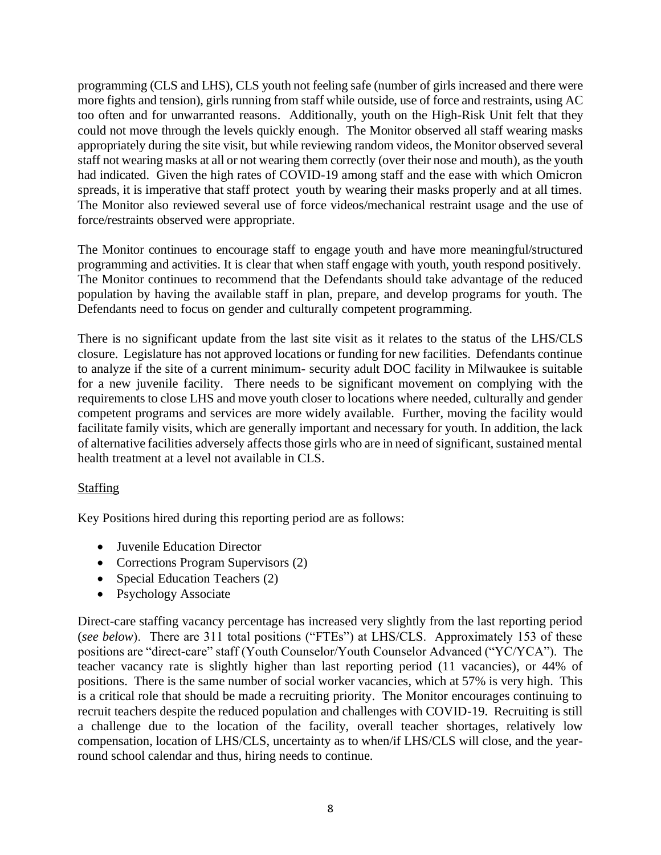programming (CLS and LHS), CLS youth not feeling safe (number of girls increased and there were more fights and tension), girls running from staff while outside, use of force and restraints, using AC too often and for unwarranted reasons. Additionally, youth on the High-Risk Unit felt that they could not move through the levels quickly enough. The Monitor observed all staff wearing masks appropriately during the site visit, but while reviewing random videos, the Monitor observed several staff not wearing masks at all or not wearing them correctly (over their nose and mouth), as the youth had indicated. Given the high rates of COVID-19 among staff and the ease with which Omicron spreads, it is imperative that staff protect youth by wearing their masks properly and at all times. The Monitor also reviewed several use of force videos/mechanical restraint usage and the use of force/restraints observed were appropriate.

The Monitor continues to encourage staff to engage youth and have more meaningful/structured programming and activities. It is clear that when staff engage with youth, youth respond positively. The Monitor continues to recommend that the Defendants should take advantage of the reduced population by having the available staff in plan, prepare, and develop programs for youth. The Defendants need to focus on gender and culturally competent programming.

There is no significant update from the last site visit as it relates to the status of the LHS/CLS closure. Legislature has not approved locations or funding for new facilities. Defendants continue to analyze if the site of a current minimum- security adult DOC facility in Milwaukee is suitable for a new juvenile facility. There needs to be significant movement on complying with the requirements to close LHS and move youth closer to locations where needed, culturally and gender competent programs and services are more widely available. Further, moving the facility would facilitate family visits, which are generally important and necessary for youth. In addition, the lack of alternative facilities adversely affects those girls who are in need of significant, sustained mental health treatment at a level not available in CLS.

# Staffing

Key Positions hired during this reporting period are as follows:

- Juvenile Education Director
- Corrections Program Supervisors (2)
- Special Education Teachers (2)
- Psychology Associate

Direct-care staffing vacancy percentage has increased very slightly from the last reporting period (*see below*). There are 311 total positions ("FTEs") at LHS/CLS. Approximately 153 of these positions are "direct-care" staff (Youth Counselor/Youth Counselor Advanced ("YC/YCA"). The teacher vacancy rate is slightly higher than last reporting period (11 vacancies), or 44% of positions. There is the same number of social worker vacancies, which at 57% is very high. This is a critical role that should be made a recruiting priority. The Monitor encourages continuing to recruit teachers despite the reduced population and challenges with COVID-19. Recruiting is still a challenge due to the location of the facility, overall teacher shortages, relatively low compensation, location of LHS/CLS, uncertainty as to when/if LHS/CLS will close, and the yearround school calendar and thus, hiring needs to continue.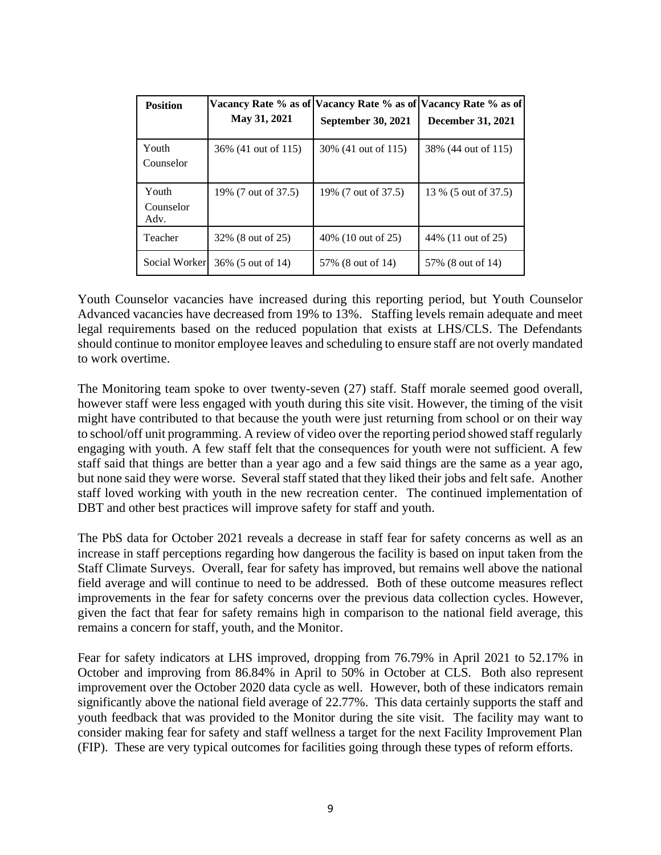| <b>Position</b>            | May 31, 2021         | September 30, 2021   | Vacancy Rate % as of Vacancy Rate % as of Vacancy Rate % as of<br><b>December 31, 2021</b> |
|----------------------------|----------------------|----------------------|--------------------------------------------------------------------------------------------|
| Youth<br>Counselor         | 36\% (41 out of 115) | 30\% (41 out of 115) | 38% (44 out of 115)                                                                        |
| Youth<br>Counselor<br>Adv. | 19% (7 out of 37.5)  | 19% (7 out of 37.5)  | 13 % (5 out of 37.5)                                                                       |
| Teacher                    | 32% (8 out of 25)    | 40\% (10 out of 25)  | 44\% (11 out of 25)                                                                        |
| Social Worker              | 36% (5 out of 14)    | 57\% (8 out of 14)   | 57\% (8 out of 14)                                                                         |

Youth Counselor vacancies have increased during this reporting period, but Youth Counselor Advanced vacancies have decreased from 19% to 13%. Staffing levels remain adequate and meet legal requirements based on the reduced population that exists at LHS/CLS. The Defendants should continue to monitor employee leaves and scheduling to ensure staff are not overly mandated to work overtime.

The Monitoring team spoke to over twenty-seven (27) staff. Staff morale seemed good overall, however staff were less engaged with youth during this site visit. However, the timing of the visit might have contributed to that because the youth were just returning from school or on their way to school/off unit programming. A review of video over the reporting period showed staff regularly engaging with youth. A few staff felt that the consequences for youth were not sufficient. A few staff said that things are better than a year ago and a few said things are the same as a year ago, but none said they were worse. Several staff stated that they liked their jobs and felt safe. Another staff loved working with youth in the new recreation center. The continued implementation of DBT and other best practices will improve safety for staff and youth.

The PbS data for October 2021 reveals a decrease in staff fear for safety concerns as well as an increase in staff perceptions regarding how dangerous the facility is based on input taken from the Staff Climate Surveys. Overall, fear for safety has improved, but remains well above the national field average and will continue to need to be addressed. Both of these outcome measures reflect improvements in the fear for safety concerns over the previous data collection cycles. However, given the fact that fear for safety remains high in comparison to the national field average, this remains a concern for staff, youth, and the Monitor.

Fear for safety indicators at LHS improved, dropping from 76.79% in April 2021 to 52.17% in October and improving from 86.84% in April to 50% in October at CLS. Both also represent improvement over the October 2020 data cycle as well. However, both of these indicators remain significantly above the national field average of 22.77%. This data certainly supports the staff and youth feedback that was provided to the Monitor during the site visit. The facility may want to consider making fear for safety and staff wellness a target for the next Facility Improvement Plan (FIP). These are very typical outcomes for facilities going through these types of reform efforts.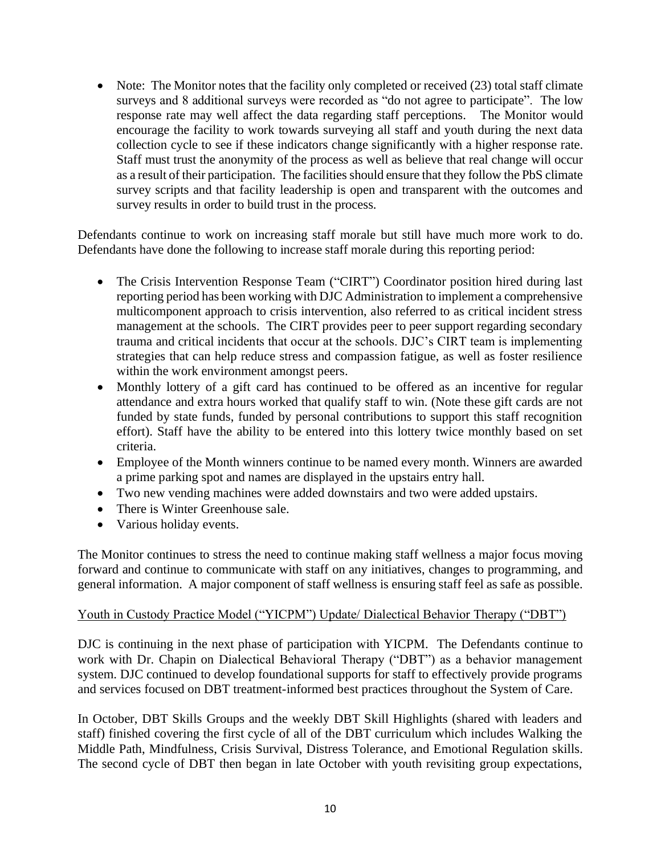• Note: The Monitor notes that the facility only completed or received (23) total staff climate surveys and 8 additional surveys were recorded as "do not agree to participate". The low response rate may well affect the data regarding staff perceptions. The Monitor would encourage the facility to work towards surveying all staff and youth during the next data collection cycle to see if these indicators change significantly with a higher response rate. Staff must trust the anonymity of the process as well as believe that real change will occur as a result of their participation. The facilities should ensure that they follow the PbS climate survey scripts and that facility leadership is open and transparent with the outcomes and survey results in order to build trust in the process.

Defendants continue to work on increasing staff morale but still have much more work to do. Defendants have done the following to increase staff morale during this reporting period:

- The Crisis Intervention Response Team ("CIRT") Coordinator position hired during last reporting period has been working with DJC Administration to implement a comprehensive multicomponent approach to crisis intervention, also referred to as critical incident stress management at the schools. The CIRT provides peer to peer support regarding secondary trauma and critical incidents that occur at the schools. DJC's CIRT team is implementing strategies that can help reduce stress and compassion fatigue, as well as foster resilience within the work environment amongst peers.
- Monthly lottery of a gift card has continued to be offered as an incentive for regular attendance and extra hours worked that qualify staff to win. (Note these gift cards are not funded by state funds, funded by personal contributions to support this staff recognition effort). Staff have the ability to be entered into this lottery twice monthly based on set criteria.
- Employee of the Month winners continue to be named every month. Winners are awarded a prime parking spot and names are displayed in the upstairs entry hall.
- Two new vending machines were added downstairs and two were added upstairs.
- There is Winter Greenhouse sale.
- Various holiday events.

The Monitor continues to stress the need to continue making staff wellness a major focus moving forward and continue to communicate with staff on any initiatives, changes to programming, and general information. A major component of staff wellness is ensuring staff feel as safe as possible.

### Youth in Custody Practice Model ("YICPM") Update/ Dialectical Behavior Therapy ("DBT")

DJC is continuing in the next phase of participation with YICPM. The Defendants continue to work with Dr. Chapin on Dialectical Behavioral Therapy ("DBT") as a behavior management system. DJC continued to develop foundational supports for staff to effectively provide programs and services focused on DBT treatment-informed best practices throughout the System of Care.

In October, DBT Skills Groups and the weekly DBT Skill Highlights (shared with leaders and staff) finished covering the first cycle of all of the DBT curriculum which includes Walking the Middle Path, Mindfulness, Crisis Survival, Distress Tolerance, and Emotional Regulation skills. The second cycle of DBT then began in late October with youth revisiting group expectations,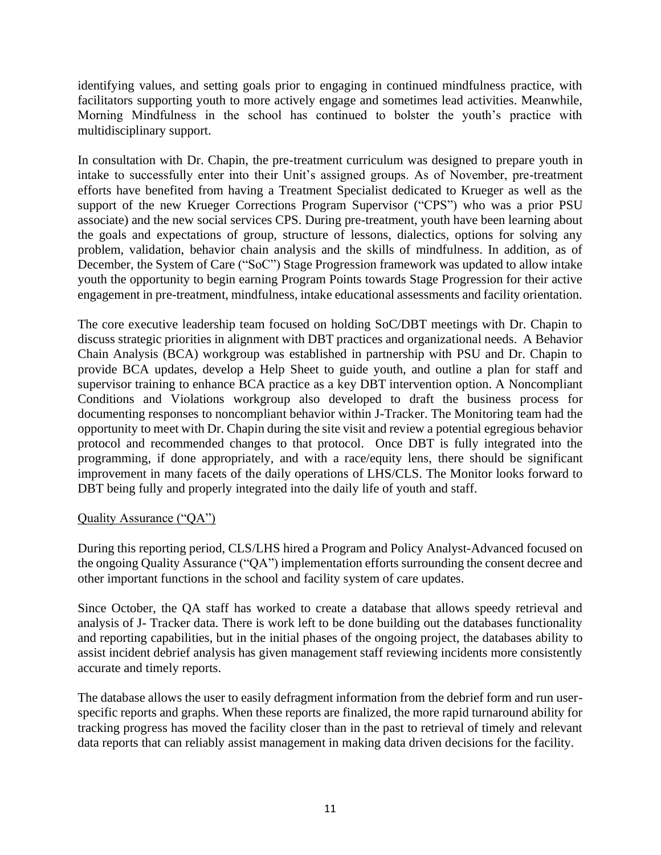identifying values, and setting goals prior to engaging in continued mindfulness practice, with facilitators supporting youth to more actively engage and sometimes lead activities. Meanwhile, Morning Mindfulness in the school has continued to bolster the youth's practice with multidisciplinary support.

In consultation with Dr. Chapin, the pre-treatment curriculum was designed to prepare youth in intake to successfully enter into their Unit's assigned groups. As of November, pre-treatment efforts have benefited from having a Treatment Specialist dedicated to Krueger as well as the support of the new Krueger Corrections Program Supervisor ("CPS") who was a prior PSU associate) and the new social services CPS. During pre-treatment, youth have been learning about the goals and expectations of group, structure of lessons, dialectics, options for solving any problem, validation, behavior chain analysis and the skills of mindfulness. In addition, as of December, the System of Care ("SoC") Stage Progression framework was updated to allow intake youth the opportunity to begin earning Program Points towards Stage Progression for their active engagement in pre-treatment, mindfulness, intake educational assessments and facility orientation.

The core executive leadership team focused on holding SoC/DBT meetings with Dr. Chapin to discuss strategic priorities in alignment with DBT practices and organizational needs. A Behavior Chain Analysis (BCA) workgroup was established in partnership with PSU and Dr. Chapin to provide BCA updates, develop a Help Sheet to guide youth, and outline a plan for staff and supervisor training to enhance BCA practice as a key DBT intervention option. A Noncompliant Conditions and Violations workgroup also developed to draft the business process for documenting responses to noncompliant behavior within J-Tracker. The Monitoring team had the opportunity to meet with Dr. Chapin during the site visit and review a potential egregious behavior protocol and recommended changes to that protocol. Once DBT is fully integrated into the programming, if done appropriately, and with a race/equity lens, there should be significant improvement in many facets of the daily operations of LHS/CLS. The Monitor looks forward to DBT being fully and properly integrated into the daily life of youth and staff.

### Quality Assurance ("QA")

During this reporting period, CLS/LHS hired a Program and Policy Analyst-Advanced focused on the ongoing Quality Assurance ("QA") implementation efforts surrounding the consent decree and other important functions in the school and facility system of care updates.

Since October, the QA staff has worked to create a database that allows speedy retrieval and analysis of J- Tracker data. There is work left to be done building out the databases functionality and reporting capabilities, but in the initial phases of the ongoing project, the databases ability to assist incident debrief analysis has given management staff reviewing incidents more consistently accurate and timely reports.

The database allows the user to easily defragment information from the debrief form and run userspecific reports and graphs. When these reports are finalized, the more rapid turnaround ability for tracking progress has moved the facility closer than in the past to retrieval of timely and relevant data reports that can reliably assist management in making data driven decisions for the facility.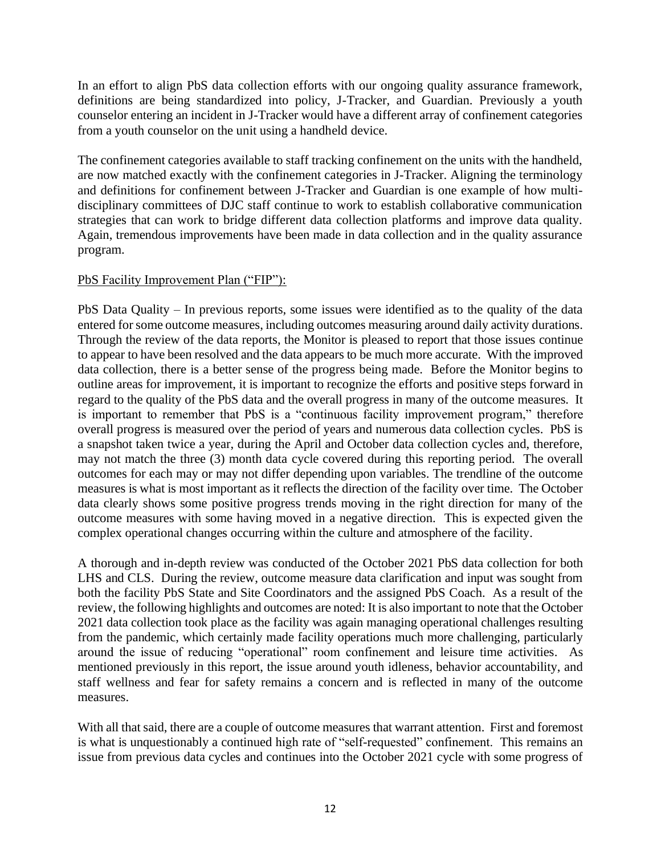In an effort to align PbS data collection efforts with our ongoing quality assurance framework, definitions are being standardized into policy, J-Tracker, and Guardian. Previously a youth counselor entering an incident in J-Tracker would have a different array of confinement categories from a youth counselor on the unit using a handheld device.

The confinement categories available to staff tracking confinement on the units with the handheld, are now matched exactly with the confinement categories in J-Tracker. Aligning the terminology and definitions for confinement between J-Tracker and Guardian is one example of how multidisciplinary committees of DJC staff continue to work to establish collaborative communication strategies that can work to bridge different data collection platforms and improve data quality. Again, tremendous improvements have been made in data collection and in the quality assurance program.

### PbS Facility Improvement Plan ("FIP"):

PbS Data Quality – In previous reports, some issues were identified as to the quality of the data entered for some outcome measures, including outcomes measuring around daily activity durations. Through the review of the data reports, the Monitor is pleased to report that those issues continue to appear to have been resolved and the data appears to be much more accurate. With the improved data collection, there is a better sense of the progress being made. Before the Monitor begins to outline areas for improvement, it is important to recognize the efforts and positive steps forward in regard to the quality of the PbS data and the overall progress in many of the outcome measures. It is important to remember that PbS is a "continuous facility improvement program," therefore overall progress is measured over the period of years and numerous data collection cycles. PbS is a snapshot taken twice a year, during the April and October data collection cycles and, therefore, may not match the three (3) month data cycle covered during this reporting period. The overall outcomes for each may or may not differ depending upon variables. The trendline of the outcome measures is what is most important as it reflects the direction of the facility over time. The October data clearly shows some positive progress trends moving in the right direction for many of the outcome measures with some having moved in a negative direction. This is expected given the complex operational changes occurring within the culture and atmosphere of the facility.

A thorough and in-depth review was conducted of the October 2021 PbS data collection for both LHS and CLS. During the review, outcome measure data clarification and input was sought from both the facility PbS State and Site Coordinators and the assigned PbS Coach. As a result of the review, the following highlights and outcomes are noted: It is also important to note that the October 2021 data collection took place as the facility was again managing operational challenges resulting from the pandemic, which certainly made facility operations much more challenging, particularly around the issue of reducing "operational" room confinement and leisure time activities. As mentioned previously in this report, the issue around youth idleness, behavior accountability, and staff wellness and fear for safety remains a concern and is reflected in many of the outcome measures.

With all that said, there are a couple of outcome measures that warrant attention. First and foremost is what is unquestionably a continued high rate of "self-requested" confinement. This remains an issue from previous data cycles and continues into the October 2021 cycle with some progress of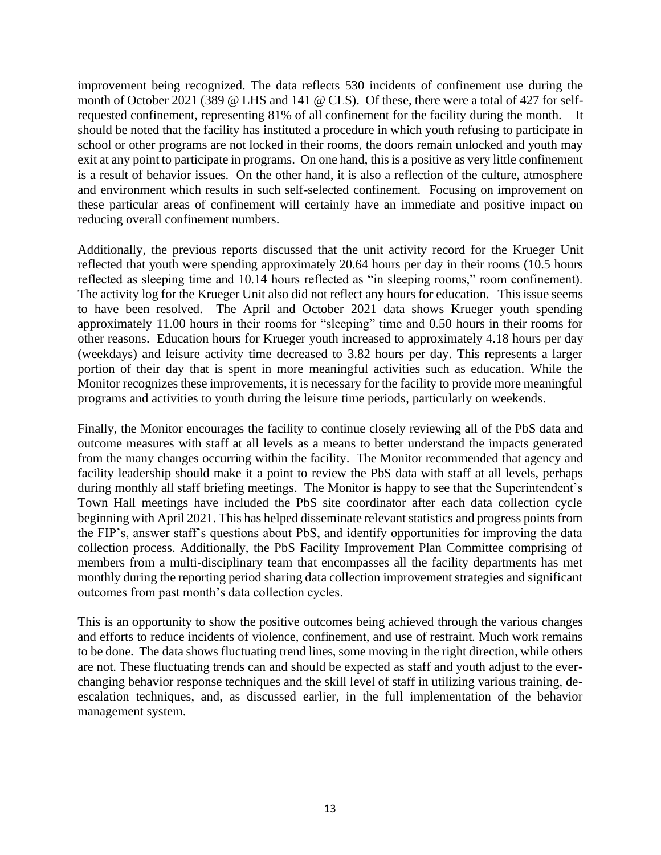improvement being recognized. The data reflects 530 incidents of confinement use during the month of October 2021 (389 @ LHS and 141 @ CLS). Of these, there were a total of 427 for selfrequested confinement, representing 81% of all confinement for the facility during the month. It should be noted that the facility has instituted a procedure in which youth refusing to participate in school or other programs are not locked in their rooms, the doors remain unlocked and youth may exit at any point to participate in programs. On one hand, this is a positive as very little confinement is a result of behavior issues. On the other hand, it is also a reflection of the culture, atmosphere and environment which results in such self-selected confinement. Focusing on improvement on these particular areas of confinement will certainly have an immediate and positive impact on reducing overall confinement numbers.

Additionally, the previous reports discussed that the unit activity record for the Krueger Unit reflected that youth were spending approximately 20.64 hours per day in their rooms (10.5 hours reflected as sleeping time and 10.14 hours reflected as "in sleeping rooms," room confinement). The activity log for the Krueger Unit also did not reflect any hours for education. This issue seems to have been resolved. The April and October 2021 data shows Krueger youth spending approximately 11.00 hours in their rooms for "sleeping" time and 0.50 hours in their rooms for other reasons. Education hours for Krueger youth increased to approximately 4.18 hours per day (weekdays) and leisure activity time decreased to 3.82 hours per day. This represents a larger portion of their day that is spent in more meaningful activities such as education. While the Monitor recognizes these improvements, it is necessary for the facility to provide more meaningful programs and activities to youth during the leisure time periods, particularly on weekends.

Finally, the Monitor encourages the facility to continue closely reviewing all of the PbS data and outcome measures with staff at all levels as a means to better understand the impacts generated from the many changes occurring within the facility. The Monitor recommended that agency and facility leadership should make it a point to review the PbS data with staff at all levels, perhaps during monthly all staff briefing meetings. The Monitor is happy to see that the Superintendent's Town Hall meetings have included the PbS site coordinator after each data collection cycle beginning with April 2021. This has helped disseminate relevant statistics and progress points from the FIP's, answer staff's questions about PbS, and identify opportunities for improving the data collection process. Additionally, the PbS Facility Improvement Plan Committee comprising of members from a multi-disciplinary team that encompasses all the facility departments has met monthly during the reporting period sharing data collection improvement strategies and significant outcomes from past month's data collection cycles.

This is an opportunity to show the positive outcomes being achieved through the various changes and efforts to reduce incidents of violence, confinement, and use of restraint. Much work remains to be done. The data shows fluctuating trend lines, some moving in the right direction, while others are not. These fluctuating trends can and should be expected as staff and youth adjust to the everchanging behavior response techniques and the skill level of staff in utilizing various training, deescalation techniques, and, as discussed earlier, in the full implementation of the behavior management system.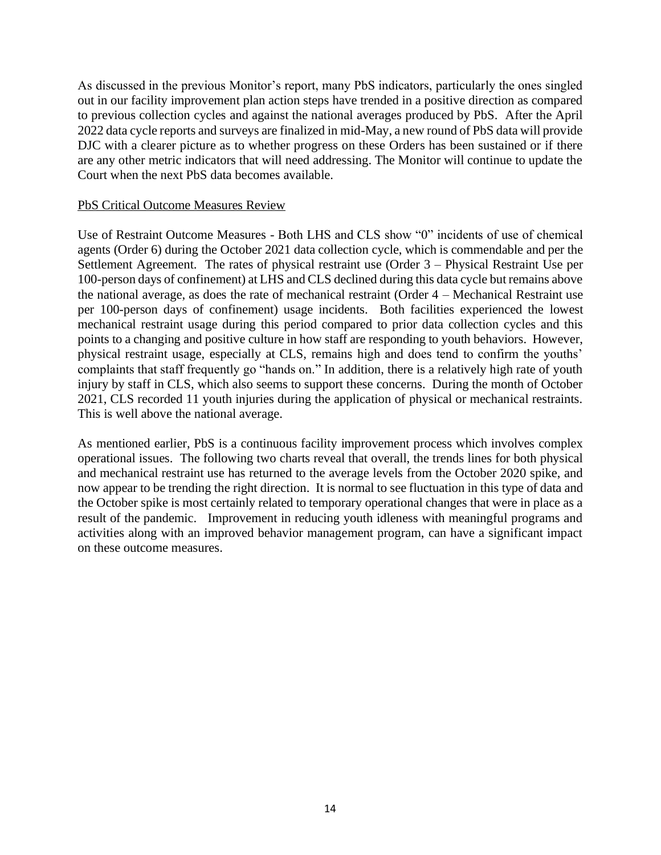As discussed in the previous Monitor's report, many PbS indicators, particularly the ones singled out in our facility improvement plan action steps have trended in a positive direction as compared to previous collection cycles and against the national averages produced by PbS. After the April 2022 data cycle reports and surveys are finalized in mid-May, a new round of PbS data will provide DJC with a clearer picture as to whether progress on these Orders has been sustained or if there are any other metric indicators that will need addressing. The Monitor will continue to update the Court when the next PbS data becomes available.

### PbS Critical Outcome Measures Review

Use of Restraint Outcome Measures - Both LHS and CLS show "0" incidents of use of chemical agents (Order 6) during the October 2021 data collection cycle, which is commendable and per the Settlement Agreement. The rates of physical restraint use (Order 3 – Physical Restraint Use per 100-person days of confinement) at LHS and CLS declined during this data cycle but remains above the national average, as does the rate of mechanical restraint (Order 4 – Mechanical Restraint use per 100-person days of confinement) usage incidents. Both facilities experienced the lowest mechanical restraint usage during this period compared to prior data collection cycles and this points to a changing and positive culture in how staff are responding to youth behaviors. However, physical restraint usage, especially at CLS, remains high and does tend to confirm the youths' complaints that staff frequently go "hands on." In addition, there is a relatively high rate of youth injury by staff in CLS, which also seems to support these concerns. During the month of October 2021, CLS recorded 11 youth injuries during the application of physical or mechanical restraints. This is well above the national average.

As mentioned earlier, PbS is a continuous facility improvement process which involves complex operational issues. The following two charts reveal that overall, the trends lines for both physical and mechanical restraint use has returned to the average levels from the October 2020 spike, and now appear to be trending the right direction. It is normal to see fluctuation in this type of data and the October spike is most certainly related to temporary operational changes that were in place as a result of the pandemic. Improvement in reducing youth idleness with meaningful programs and activities along with an improved behavior management program, can have a significant impact on these outcome measures.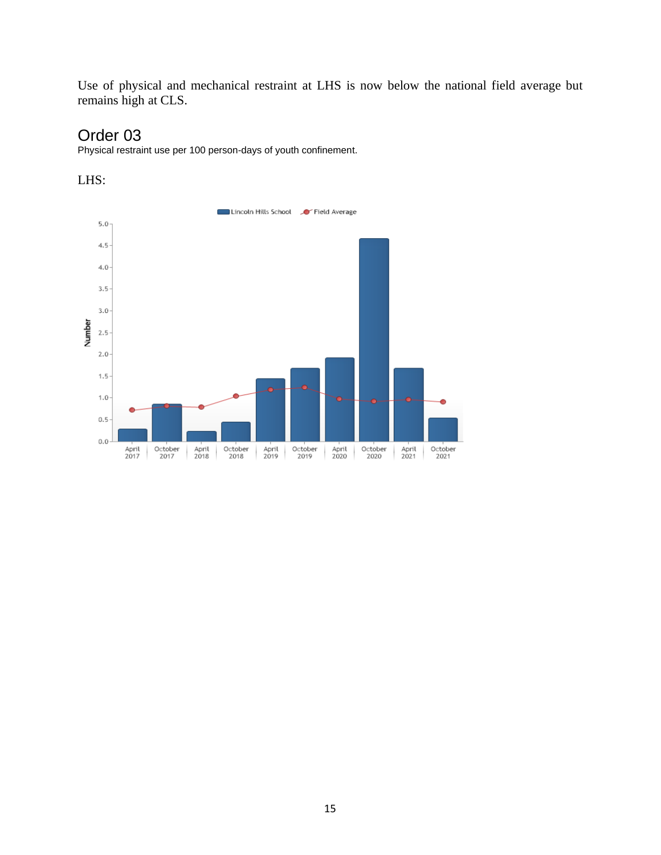Use of physical and mechanical restraint at LHS is now below the national field average but remains high at CLS.

# Order 03

Physical restraint use per 100 person-days of youth confinement.



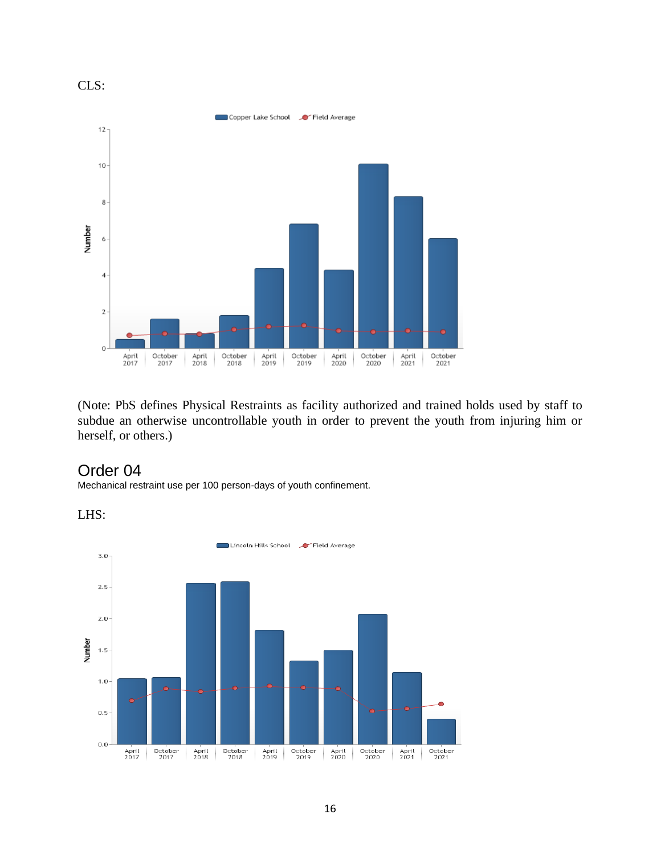

(Note: PbS defines Physical Restraints as facility authorized and trained holds used by staff to subdue an otherwise uncontrollable youth in order to prevent the youth from injuring him or herself, or others.)

# Order 04

Mechanical restraint use per 100 person-days of youth confinement.

LHS:

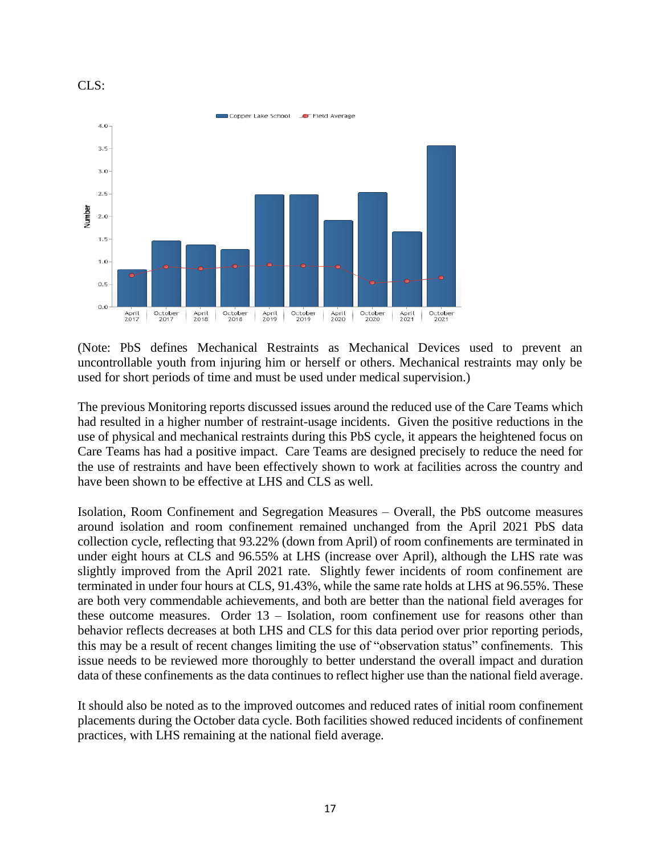



(Note: PbS defines Mechanical Restraints as Mechanical Devices used to prevent an uncontrollable youth from injuring him or herself or others. Mechanical restraints may only be used for short periods of time and must be used under medical supervision.)

The previous Monitoring reports discussed issues around the reduced use of the Care Teams which had resulted in a higher number of restraint-usage incidents. Given the positive reductions in the use of physical and mechanical restraints during this PbS cycle, it appears the heightened focus on Care Teams has had a positive impact. Care Teams are designed precisely to reduce the need for the use of restraints and have been effectively shown to work at facilities across the country and have been shown to be effective at LHS and CLS as well.

Isolation, Room Confinement and Segregation Measures – Overall, the PbS outcome measures around isolation and room confinement remained unchanged from the April 2021 PbS data collection cycle, reflecting that 93.22% (down from April) of room confinements are terminated in under eight hours at CLS and 96.55% at LHS (increase over April), although the LHS rate was slightly improved from the April 2021 rate. Slightly fewer incidents of room confinement are terminated in under four hours at CLS, 91.43%, while the same rate holds at LHS at 96.55%. These are both very commendable achievements, and both are better than the national field averages for these outcome measures. Order 13 – Isolation, room confinement use for reasons other than behavior reflects decreases at both LHS and CLS for this data period over prior reporting periods, this may be a result of recent changes limiting the use of "observation status" confinements. This issue needs to be reviewed more thoroughly to better understand the overall impact and duration data of these confinements as the data continues to reflect higher use than the national field average.

It should also be noted as to the improved outcomes and reduced rates of initial room confinement placements during the October data cycle. Both facilities showed reduced incidents of confinement practices, with LHS remaining at the national field average.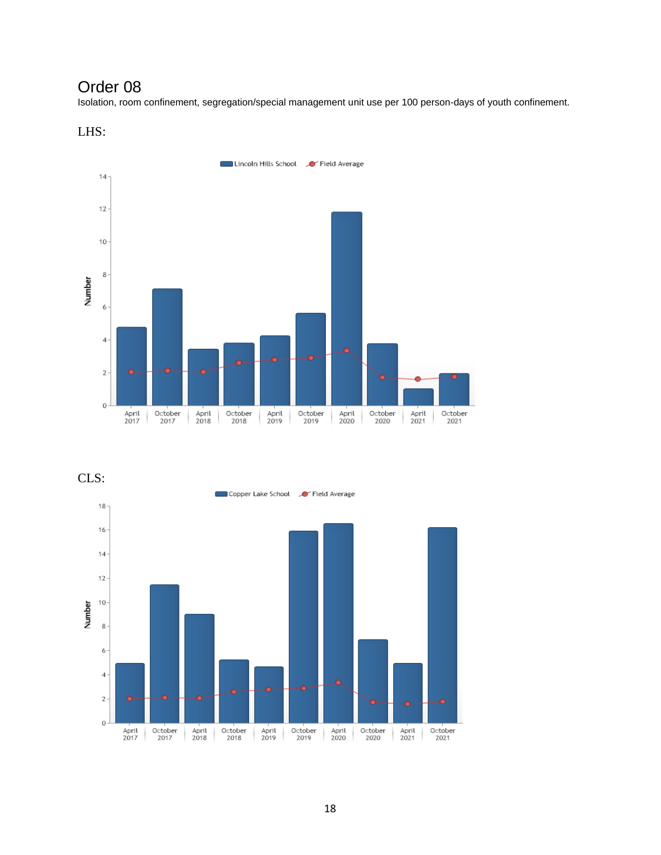# Order 08

Isolation, room confinement, segregation/special management unit use per 100 person-days of youth confinement.





CLS:

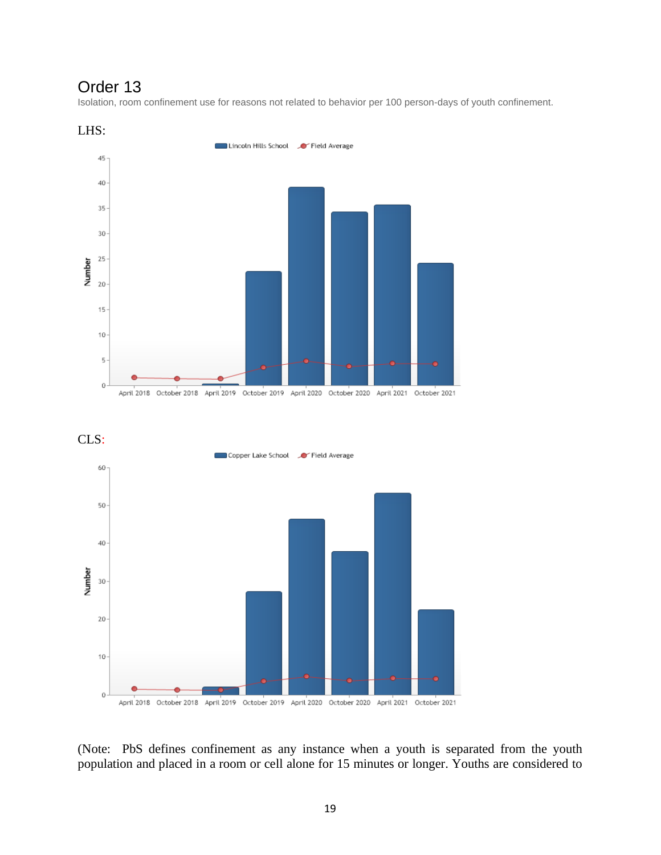# Order 13

Isolation, room confinement use for reasons not related to behavior per 100 person-days of youth confinement.







(Note: PbS defines confinement as any instance when a youth is separated from the youth population and placed in a room or cell alone for 15 minutes or longer. Youths are considered to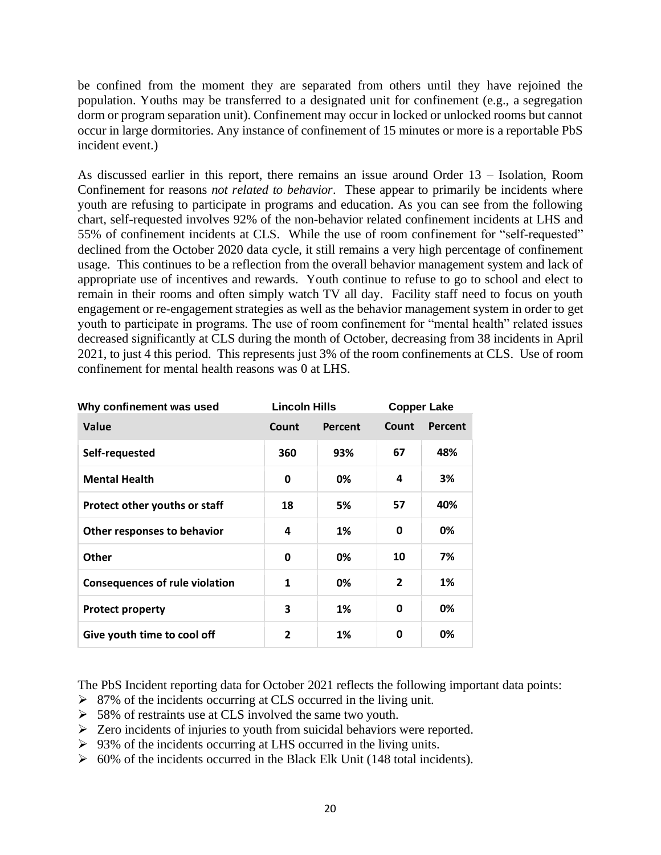be confined from the moment they are separated from others until they have rejoined the population. Youths may be transferred to a designated unit for confinement (e.g., a segregation dorm or program separation unit). Confinement may occur in locked or unlocked rooms but cannot occur in large dormitories. Any instance of confinement of 15 minutes or more is a reportable PbS incident event.)

As discussed earlier in this report, there remains an issue around Order 13 – Isolation, Room Confinement for reasons *not related to behavior*. These appear to primarily be incidents where youth are refusing to participate in programs and education. As you can see from the following chart, self-requested involves 92% of the non-behavior related confinement incidents at LHS and 55% of confinement incidents at CLS. While the use of room confinement for "self-requested" declined from the October 2020 data cycle, it still remains a very high percentage of confinement usage. This continues to be a reflection from the overall behavior management system and lack of appropriate use of incentives and rewards. Youth continue to refuse to go to school and elect to remain in their rooms and often simply watch TV all day. Facility staff need to focus on youth engagement or re-engagement strategies as well as the behavior management system in order to get youth to participate in programs. The use of room confinement for "mental health" related issues decreased significantly at CLS during the month of October, decreasing from 38 incidents in April 2021, to just 4 this period. This represents just 3% of the room confinements at CLS. Use of room confinement for mental health reasons was 0 at LHS.

| Why confinement was used              | <b>Lincoln Hills</b> |         | <b>Copper Lake</b> |         |
|---------------------------------------|----------------------|---------|--------------------|---------|
| Value                                 | Count                | Percent | Count              | Percent |
| Self-requested                        | 360                  | 93%     | 67                 | 48%     |
| <b>Mental Health</b>                  | 0                    | 0%      | 4                  | 3%      |
| Protect other youths or staff         | 18                   | 5%      | 57                 | 40%     |
| Other responses to behavior           | 4                    | 1%      | 0                  | 0%      |
| <b>Other</b>                          | 0                    | 0%      | 10                 | 7%      |
| <b>Consequences of rule violation</b> | 1                    | 0%      | $\overline{2}$     | 1%      |
| <b>Protect property</b>               | 3                    | 1%      | 0                  | 0%      |
| Give youth time to cool off           | 2                    | 1%      | O                  | 0%      |

The PbS Incident reporting data for October 2021 reflects the following important data points:

- ➢ 87% of the incidents occurring at CLS occurred in the living unit.
- ➢ 58% of restraints use at CLS involved the same two youth.
- ➢ Zero incidents of injuries to youth from suicidal behaviors were reported.
- $\geq 93\%$  of the incidents occurring at LHS occurred in the living units.
- $\geq 60\%$  of the incidents occurred in the Black Elk Unit (148 total incidents).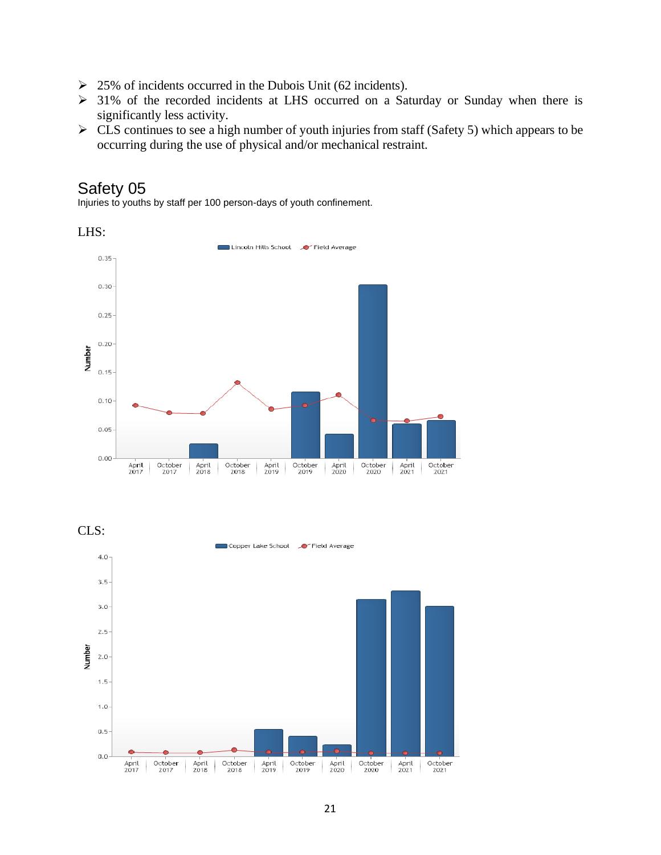- ➢ 25% of incidents occurred in the Dubois Unit (62 incidents).
- ➢ 31% of the recorded incidents at LHS occurred on a Saturday or Sunday when there is significantly less activity.
- $\triangleright$  CLS continues to see a high number of youth injuries from staff (Safety 5) which appears to be occurring during the use of physical and/or mechanical restraint.

# Safety 05

Injuries to youths by staff per 100 person-days of youth confinement.



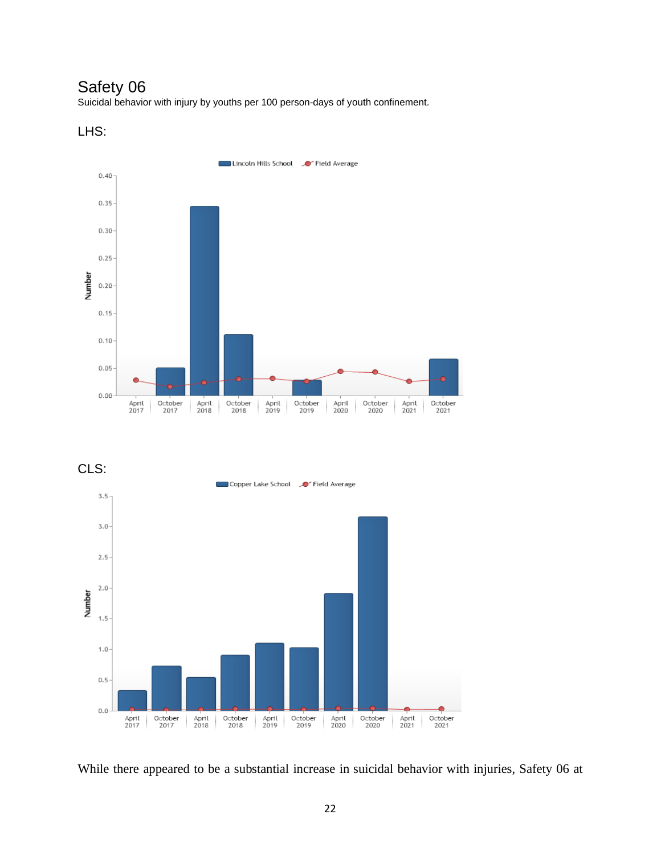# Safety 06

Suicidal behavior with injury by youths per 100 person-days of youth confinement.





CLS:



While there appeared to be a substantial increase in suicidal behavior with injuries, Safety 06 at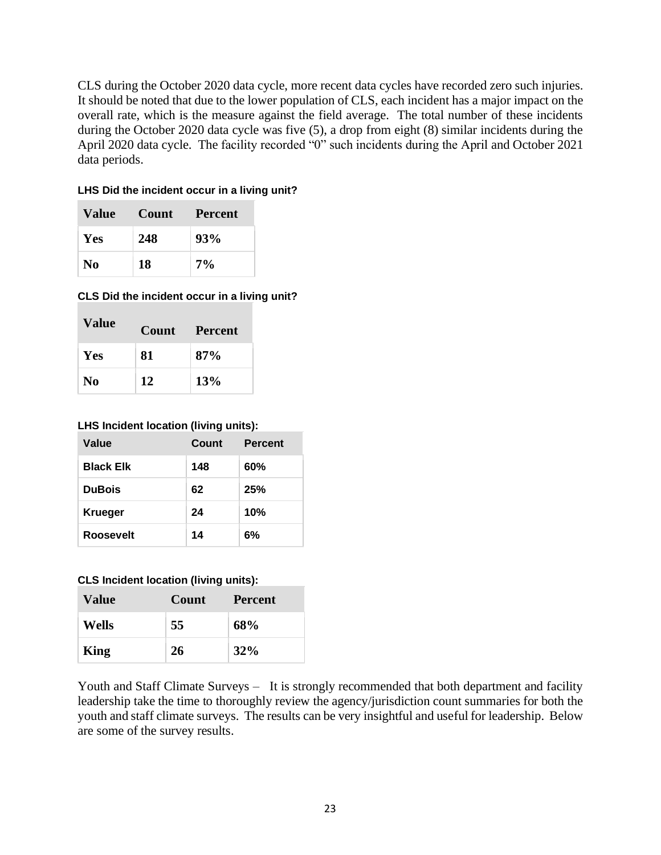CLS during the October 2020 data cycle, more recent data cycles have recorded zero such injuries. It should be noted that due to the lower population of CLS, each incident has a major impact on the overall rate, which is the measure against the field average. The total number of these incidents during the October 2020 data cycle was five (5), a drop from eight (8) similar incidents during the April 2020 data cycle. The facility recorded "0" such incidents during the April and October 2021 data periods.

### **LHS Did the incident occur in a living unit?**

| Value | <b>Count</b> | <b>Percent</b> |
|-------|--------------|----------------|
| Yes   | 248          | 93%            |
| N0    | 18           | $7\%$          |

### **CLS Did the incident occur in a living unit?**

| Value          | Count | Percent |
|----------------|-------|---------|
| Yes            | 81    | 87%     |
| N <sub>0</sub> | 12    | 13%     |

### **LHS Incident location (living units):**

| Value            | Count | <b>Percent</b> |
|------------------|-------|----------------|
| <b>Black Elk</b> | 148   | 60%            |
| <b>DuBois</b>    | 62    | 25%            |
| <b>Krueger</b>   | 24    | 10%            |
| <b>Roosevelt</b> | 14    | 6%             |

#### **CLS Incident location (living units):**

| <b>Value</b> | Count | <b>Percent</b> |
|--------------|-------|----------------|
| <b>Wells</b> | 55    | 68%            |
| King         | 26    | 32%            |

Youth and Staff Climate Surveys – It is strongly recommended that both department and facility leadership take the time to thoroughly review the agency/jurisdiction count summaries for both the youth and staff climate surveys. The results can be very insightful and useful for leadership. Below are some of the survey results.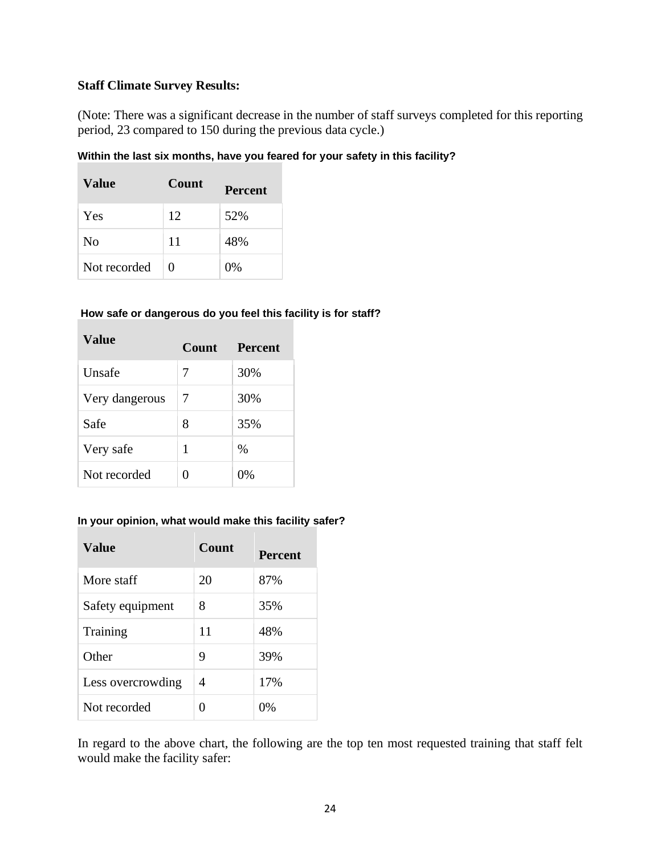# **Staff Climate Survey Results:**

(Note: There was a significant decrease in the number of staff surveys completed for this reporting period, 23 compared to 150 during the previous data cycle.)

### **Within the last six months, have you feared for your safety in this facility?**

| Value          | Count             | <b>Percent</b> |
|----------------|-------------------|----------------|
| Yes            | 12                | 52%            |
| N <sub>0</sub> | 11                | 48%            |
| Not recorded   | $\mathbf{\Omega}$ | $0\%$          |

### **How safe or dangerous do you feel this facility is for staff?**

| Value          | <b>Count</b> | <b>Percent</b> |  |
|----------------|--------------|----------------|--|
| Unsafe         | 7            | 30%            |  |
| Very dangerous | 7            | 30%            |  |
| Safe           | 8            | 35%            |  |
| Very safe      | 1            | $\%$           |  |
| Not recorded   | 0            | 0%             |  |

#### **In your opinion, what would make this facility safer?**

| Value             | Count | <b>Percent</b> |
|-------------------|-------|----------------|
| More staff        | 20    | 87%            |
| Safety equipment  | 8     | 35%            |
| Training          | 11    | 48%            |
| Other             | 9     | 39%            |
| Less overcrowding | 4     | 17%            |
| Not recorded      | 0     | $0\%$          |

In regard to the above chart, the following are the top ten most requested training that staff felt would make the facility safer: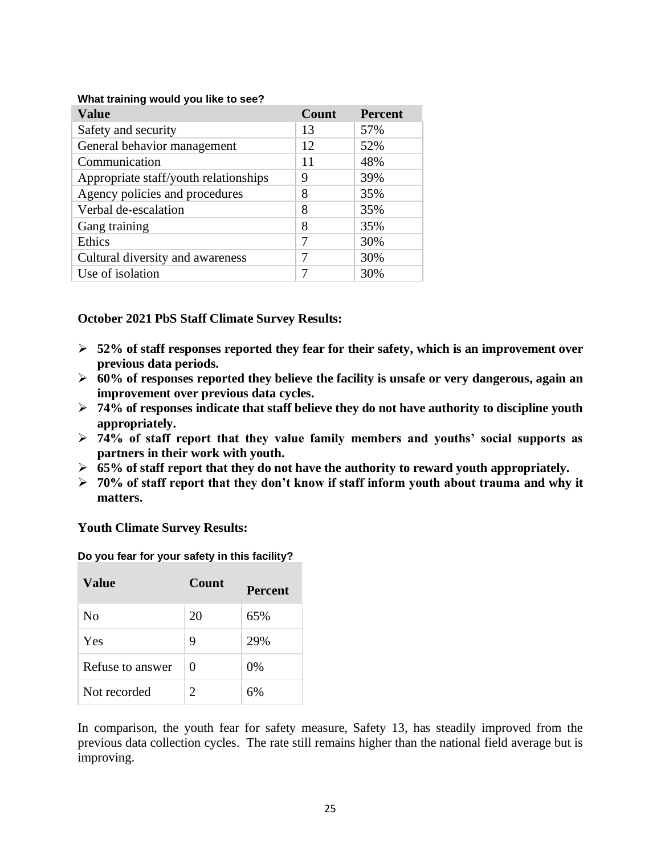| What training would you like to see? |  |
|--------------------------------------|--|
|                                      |  |

| <b>Value</b>                          | Count | <b>Percent</b> |
|---------------------------------------|-------|----------------|
| Safety and security                   | 13    | 57%            |
| General behavior management           | 12    | 52%            |
| Communication                         | 11    | 48%            |
| Appropriate staff/youth relationships | 9     | 39%            |
| Agency policies and procedures        | 8     | 35%            |
| Verbal de-escalation                  | 8     | 35%            |
| Gang training                         | 8     | 35%            |
| Ethics                                | 7     | 30%            |
| Cultural diversity and awareness      | 7     | 30%            |
| Use of isolation                      | 7     | 30%            |

# **October 2021 PbS Staff Climate Survey Results:**

- ➢ **52% of staff responses reported they fear for their safety, which is an improvement over previous data periods.**
- ➢ **60% of responses reported they believe the facility is unsafe or very dangerous, again an improvement over previous data cycles.**
- ➢ **74% of responses indicate that staff believe they do not have authority to discipline youth appropriately.**
- ➢ **74% of staff report that they value family members and youths' social supports as partners in their work with youth.**
- ➢ **65% of staff report that they do not have the authority to reward youth appropriately.**
- ➢ **70% of staff report that they don't know if staff inform youth about trauma and why it matters.**

**Youth Climate Survey Results:**

**Do you fear for your safety in this facility?**

| <b>Value</b>     | <b>Count</b>                | <b>Percent</b> |
|------------------|-----------------------------|----------------|
| No               | 20                          | 65%            |
| Yes              | 9                           | 29%            |
| Refuse to answer | 0                           | $0\%$          |
| Not recorded     | $\mathcal{D}_{\mathcal{L}}$ | 6%             |

In comparison, the youth fear for safety measure, Safety 13, has steadily improved from the previous data collection cycles. The rate still remains higher than the national field average but is improving.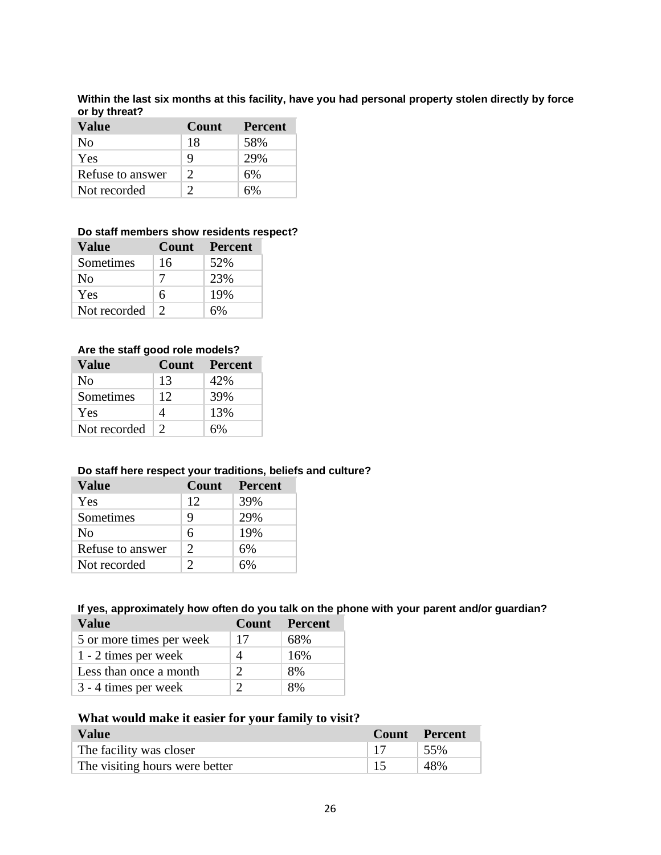**Within the last six months at this facility, have you had personal property stolen directly by force or by threat?**

| <b>Value</b>     | <b>Count</b> | <b>Percent</b> |
|------------------|--------------|----------------|
| No               | 18           | 58%            |
| Yes              | 9            | 29%            |
| Refuse to answer | C            | 6%             |
| Not recorded     | ∍            | 6%             |

#### **Do staff members show residents respect?**

| Value        | <b>Count</b> | <b>Percent</b> |
|--------------|--------------|----------------|
| Sometimes    | 16           | 52%            |
| No           |              | 23%            |
| Yes          | 6            | 19%            |
| Not recorded |              | 6%             |

#### **Are the staff good role models?**

| Value          | <b>Count</b>  | <b>Percent</b> |
|----------------|---------------|----------------|
| N <sub>0</sub> | 13            | 42%            |
| Sometimes      | 12            | 39%            |
| Yes            | 4             | 13%            |
| Not recorded   | $\mathcal{D}$ | 6%             |

#### **Do staff here respect your traditions, beliefs and culture?**

| Value            | Count         | <b>Percent</b> |
|------------------|---------------|----------------|
| Yes              | 12            | 39%            |
| Sometimes        | 9             | 29%            |
| N <sub>0</sub>   | 6             | 19%            |
| Refuse to answer | $\mathcal{D}$ | 6%             |
| Not recorded     |               | 6%             |

#### **If yes, approximately how often do you talk on the phone with your parent and/or guardian? Value Count Percent**

| 5 or more times per week | 17 | 68% |
|--------------------------|----|-----|
| 1 - 2 times per week     |    | 16% |
| Less than once a month   |    | 8%  |
| 3 - 4 times per week     |    | 8%  |

### **What would make it easier for your family to visit?**

| <b>Value</b>                   | <b>Count</b> Percent |
|--------------------------------|----------------------|
| The facility was closer        | 155%                 |
| The visiting hours were better | 48%                  |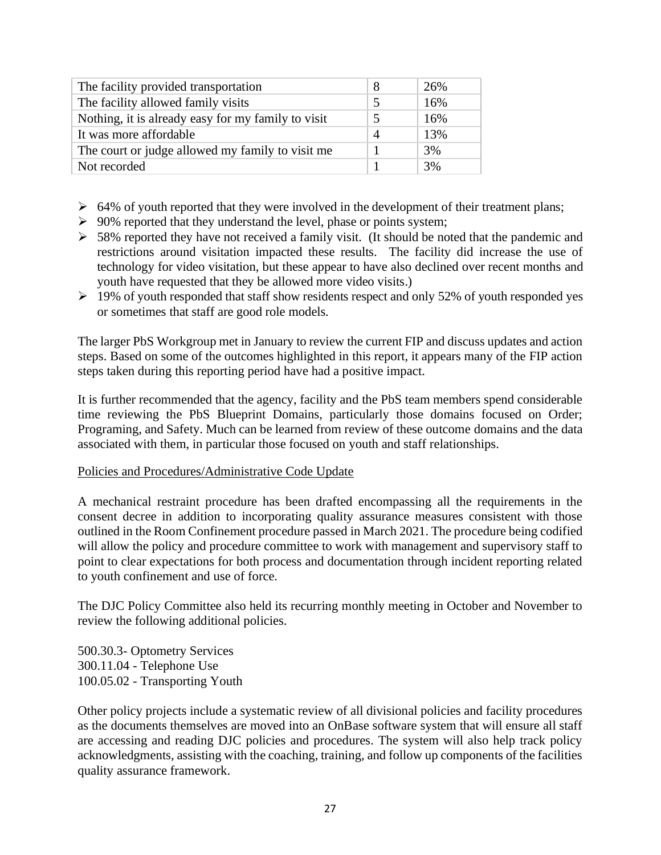| The facility provided transportation               | 8 | 26% |
|----------------------------------------------------|---|-----|
| The facility allowed family visits                 | 5 | 16% |
| Nothing, it is already easy for my family to visit | 5 | 16% |
| It was more affordable                             | Δ | 13% |
| The court or judge allowed my family to visit me   |   | 3%  |
| Not recorded                                       |   | 3%  |

- $\geq 64\%$  of youth reported that they were involved in the development of their treatment plans;
- $\geq 90\%$  reported that they understand the level, phase or points system;
- ➢ 58% reported they have not received a family visit. (It should be noted that the pandemic and restrictions around visitation impacted these results. The facility did increase the use of technology for video visitation, but these appear to have also declined over recent months and youth have requested that they be allowed more video visits.)
- $\geq 19\%$  of youth responded that staff show residents respect and only 52% of youth responded yes or sometimes that staff are good role models.

The larger PbS Workgroup met in January to review the current FIP and discuss updates and action steps. Based on some of the outcomes highlighted in this report, it appears many of the FIP action steps taken during this reporting period have had a positive impact.

It is further recommended that the agency, facility and the PbS team members spend considerable time reviewing the PbS Blueprint Domains, particularly those domains focused on Order; Programing, and Safety. Much can be learned from review of these outcome domains and the data associated with them, in particular those focused on youth and staff relationships.

### Policies and Procedures/Administrative Code Update

A mechanical restraint procedure has been drafted encompassing all the requirements in the consent decree in addition to incorporating quality assurance measures consistent with those outlined in the Room Confinement procedure passed in March 2021. The procedure being codified will allow the policy and procedure committee to work with management and supervisory staff to point to clear expectations for both process and documentation through incident reporting related to youth confinement and use of force.

The DJC Policy Committee also held its recurring monthly meeting in October and November to review the following additional policies.

500.30.3- Optometry Services 300.11.04 - Telephone Use 100.05.02 - Transporting Youth

Other policy projects include a systematic review of all divisional policies and facility procedures as the documents themselves are moved into an OnBase software system that will ensure all staff are accessing and reading DJC policies and procedures. The system will also help track policy acknowledgments, assisting with the coaching, training, and follow up components of the facilities quality assurance framework.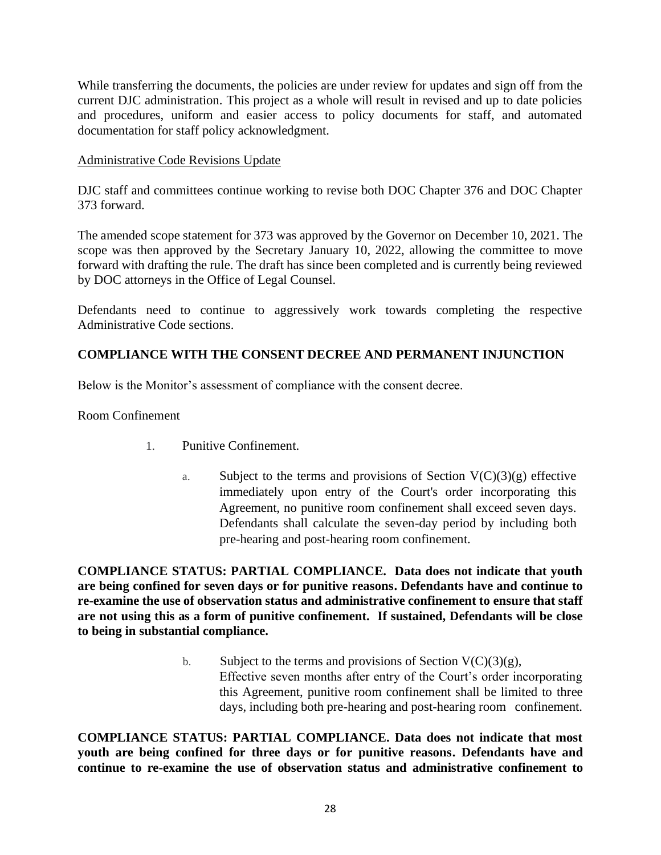While transferring the documents, the policies are under review for updates and sign off from the current DJC administration. This project as a whole will result in revised and up to date policies and procedures, uniform and easier access to policy documents for staff, and automated documentation for staff policy acknowledgment.

### Administrative Code Revisions Update

DJC staff and committees continue working to revise both DOC Chapter 376 and DOC Chapter 373 forward.

The amended scope statement for 373 was approved by the Governor on December 10, 2021. The scope was then approved by the Secretary January 10, 2022, allowing the committee to move forward with drafting the rule. The draft has since been completed and is currently being reviewed by DOC attorneys in the Office of Legal Counsel.

Defendants need to continue to aggressively work towards completing the respective Administrative Code sections.

# **COMPLIANCE WITH THE CONSENT DECREE AND PERMANENT INJUNCTION**

Below is the Monitor's assessment of compliance with the consent decree.

Room Confinement

- 1. Punitive Confinement.
	- a. Subject to the terms and provisions of Section  $V(C)(3)(g)$  effective immediately upon entry of the Court's order incorporating this Agreement, no punitive room confinement shall exceed seven days. Defendants shall calculate the seven-day period by including both pre-hearing and post-hearing room confinement.

**COMPLIANCE STATUS: PARTIAL COMPLIANCE. Data does not indicate that youth are being confined for seven days or for punitive reasons. Defendants have and continue to re-examine the use of observation status and administrative confinement to ensure that staff are not using this as a form of punitive confinement. If sustained, Defendants will be close to being in substantial compliance.**

> b. Subject to the terms and provisions of Section  $V(C)(3)(g)$ , Effective seven months after entry of the Court's order incorporating this Agreement, punitive room confinement shall be limited to three days, including both pre-hearing and post-hearing room confinement.

**COMPLIANCE STATUS: PARTIAL COMPLIANCE. Data does not indicate that most youth are being confined for three days or for punitive reasons. Defendants have and continue to re-examine the use of observation status and administrative confinement to**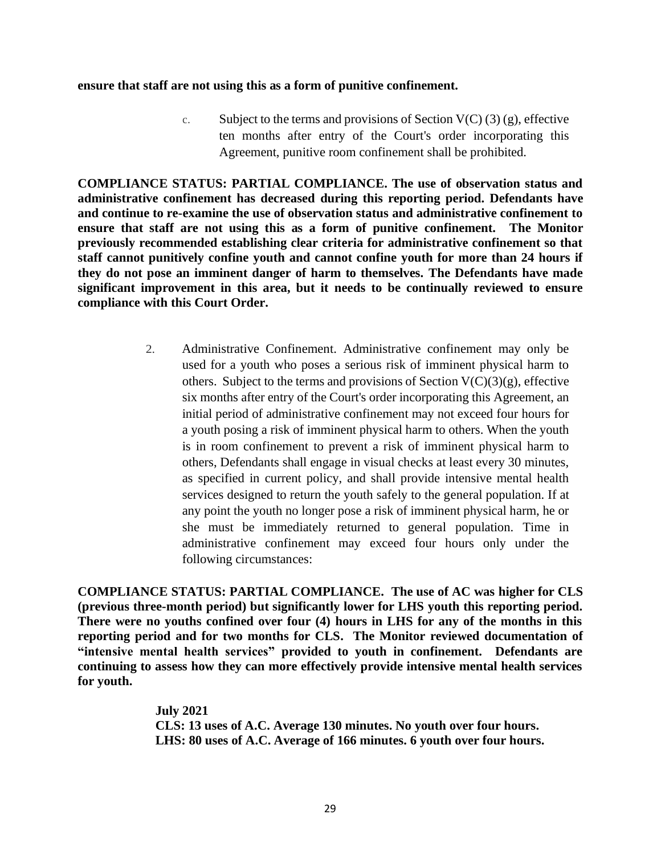#### **ensure that staff are not using this as a form of punitive confinement.**

c. Subject to the terms and provisions of Section  $V(C)(3)(g)$ , effective ten months after entry of the Court's order incorporating this Agreement, punitive room confinement shall be prohibited.

**COMPLIANCE STATUS: PARTIAL COMPLIANCE. The use of observation status and administrative confinement has decreased during this reporting period. Defendants have and continue to re-examine the use of observation status and administrative confinement to ensure that staff are not using this as a form of punitive confinement. The Monitor previously recommended establishing clear criteria for administrative confinement so that staff cannot punitively confine youth and cannot confine youth for more than 24 hours if they do not pose an imminent danger of harm to themselves. The Defendants have made significant improvement in this area, but it needs to be continually reviewed to ensure compliance with this Court Order.** 

> 2. Administrative Confinement. Administrative confinement may only be used for a youth who poses a serious risk of imminent physical harm to others. Subject to the terms and provisions of Section  $V(C)(3)(g)$ , effective six months after entry of the Court's order incorporating this Agreement, an initial period of administrative confinement may not exceed four hours for a youth posing a risk of imminent physical harm to others. When the youth is in room confinement to prevent a risk of imminent physical harm to others, Defendants shall engage in visual checks at least every 30 minutes, as specified in current policy, and shall provide intensive mental health services designed to return the youth safely to the general population. If at any point the youth no longer pose a risk of imminent physical harm, he or she must be immediately returned to general population. Time in administrative confinement may exceed four hours only under the following circumstances:

**COMPLIANCE STATUS: PARTIAL COMPLIANCE. The use of AC was higher for CLS (previous three-month period) but significantly lower for LHS youth this reporting period. There were no youths confined over four (4) hours in LHS for any of the months in this reporting period and for two months for CLS. The Monitor reviewed documentation of "intensive mental health services" provided to youth in confinement. Defendants are continuing to assess how they can more effectively provide intensive mental health services for youth.** 

> **July 2021 CLS: 13 uses of A.C. Average 130 minutes. No youth over four hours. LHS: 80 uses of A.C. Average of 166 minutes. 6 youth over four hours.**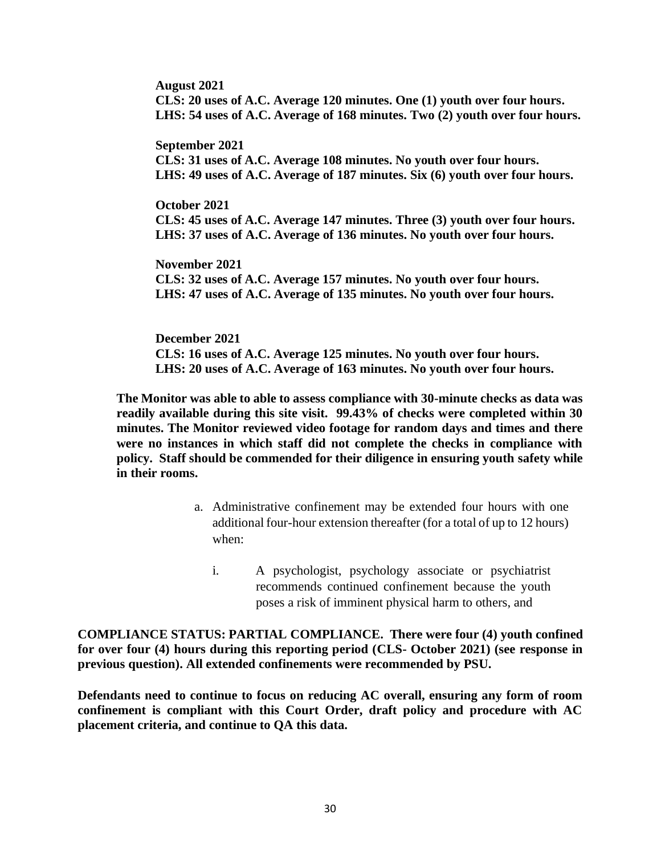**August 2021 CLS: 20 uses of A.C. Average 120 minutes. One (1) youth over four hours. LHS: 54 uses of A.C. Average of 168 minutes. Two (2) youth over four hours.** 

**September 2021**

**CLS: 31 uses of A.C. Average 108 minutes. No youth over four hours. LHS: 49 uses of A.C. Average of 187 minutes. Six (6) youth over four hours.** 

**October 2021 CLS: 45 uses of A.C. Average 147 minutes. Three (3) youth over four hours. LHS: 37 uses of A.C. Average of 136 minutes. No youth over four hours.** 

**November 2021 CLS: 32 uses of A.C. Average 157 minutes. No youth over four hours. LHS: 47 uses of A.C. Average of 135 minutes. No youth over four hours.** 

**December 2021 CLS: 16 uses of A.C. Average 125 minutes. No youth over four hours. LHS: 20 uses of A.C. Average of 163 minutes. No youth over four hours.** 

**The Monitor was able to able to assess compliance with 30-minute checks as data was readily available during this site visit. 99.43% of checks were completed within 30 minutes. The Monitor reviewed video footage for random days and times and there were no instances in which staff did not complete the checks in compliance with policy. Staff should be commended for their diligence in ensuring youth safety while in their rooms.** 

- a. Administrative confinement may be extended four hours with one additional four-hour extension thereafter (for a total of up to 12 hours) when:
	- i. A psychologist, psychology associate or psychiatrist recommends continued confinement because the youth poses a risk of imminent physical harm to others, and

**COMPLIANCE STATUS: PARTIAL COMPLIANCE. There were four (4) youth confined for over four (4) hours during this reporting period (CLS- October 2021) (see response in previous question). All extended confinements were recommended by PSU.** 

**Defendants need to continue to focus on reducing AC overall, ensuring any form of room confinement is compliant with this Court Order, draft policy and procedure with AC placement criteria, and continue to QA this data.**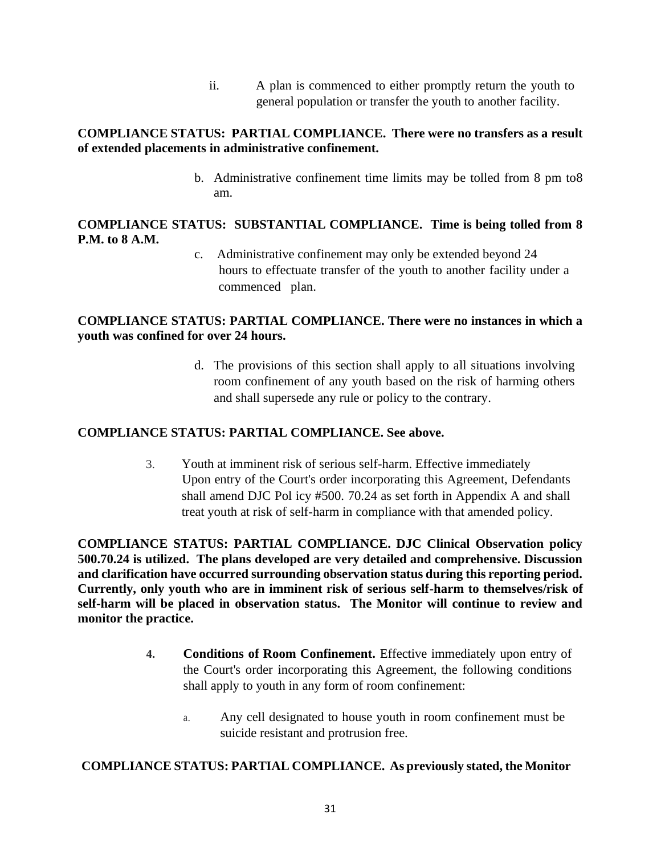ii. A plan is commenced to either promptly return the youth to general population or transfer the youth to another facility.

# **COMPLIANCE STATUS: PARTIAL COMPLIANCE. There were no transfers as a result of extended placements in administrative confinement.**

b. Administrative confinement time limits may be tolled from 8 pm to8 am.

# **COMPLIANCE STATUS: SUBSTANTIAL COMPLIANCE. Time is being tolled from 8 P.M. to 8 A.M.**

c. Administrative confinement may only be extended beyond 24 hours to effectuate transfer of the youth to another facility under a commenced plan.

# **COMPLIANCE STATUS: PARTIAL COMPLIANCE. There were no instances in which a youth was confined for over 24 hours.**

d. The provisions of this section shall apply to all situations involving room confinement of any youth based on the risk of harming others and shall supersede any rule or policy to the contrary.

# **COMPLIANCE STATUS: PARTIAL COMPLIANCE. See above.**

3. Youth at imminent risk of serious self-harm. Effective immediately Upon entry of the Court's order incorporating this Agreement, Defendants shall amend DJC Pol icy #500. 70.24 as set forth in Appendix A and shall treat youth at risk of self-harm in compliance with that amended policy.

**COMPLIANCE STATUS: PARTIAL COMPLIANCE. DJC Clinical Observation policy 500.70.24 is utilized. The plans developed are very detailed and comprehensive. Discussion and clarification have occurred surrounding observation status during this reporting period. Currently, only youth who are in imminent risk of serious self-harm to themselves/risk of self-harm will be placed in observation status. The Monitor will continue to review and monitor the practice.**

- **4. Conditions of Room Confinement.** Effective immediately upon entry of the Court's order incorporating this Agreement, the following conditions shall apply to youth in any form of room confinement:
	- a. Any cell designated to house youth in room confinement must be suicide resistant and protrusion free.

# **COMPLIANCE STATUS: PARTIAL COMPLIANCE. As previously stated, the Monitor**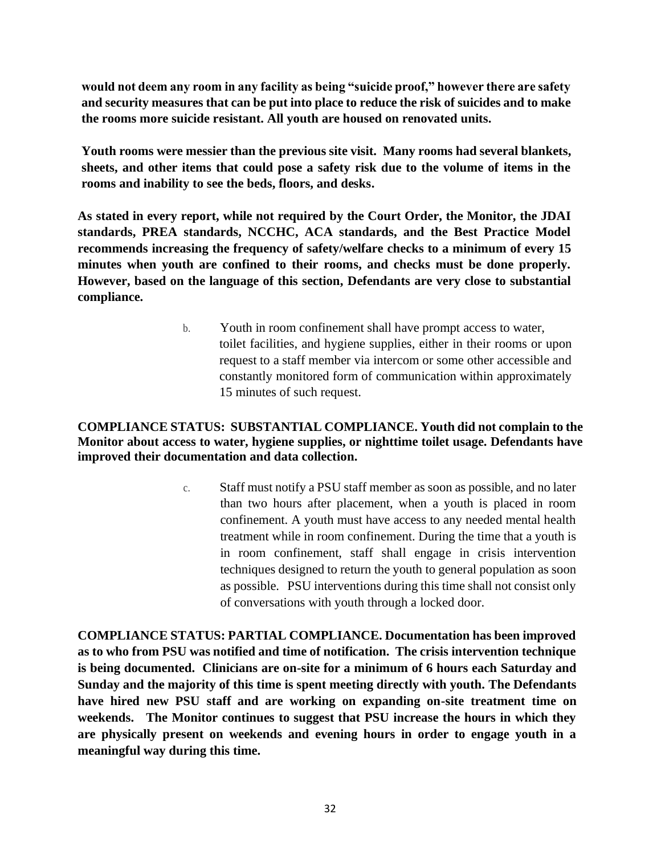**would not deem any room in any facility as being "suicide proof," however there are safety and security measures that can be put into place to reduce the risk of suicides and to make the rooms more suicide resistant. All youth are housed on renovated units.** 

**Youth rooms were messier than the previous site visit. Many rooms had several blankets, sheets, and other items that could pose a safety risk due to the volume of items in the rooms and inability to see the beds, floors, and desks.** 

**As stated in every report, while not required by the Court Order, the Monitor, the JDAI standards, PREA standards, NCCHC, ACA standards, and the Best Practice Model recommends increasing the frequency of safety/welfare checks to a minimum of every 15 minutes when youth are confined to their rooms, and checks must be done properly. However, based on the language of this section, Defendants are very close to substantial compliance.** 

> b. Youth in room confinement shall have prompt access to water, toilet facilities, and hygiene supplies, either in their rooms or upon request to a staff member via intercom or some other accessible and constantly monitored form of communication within approximately 15 minutes of such request.

# **COMPLIANCE STATUS: SUBSTANTIAL COMPLIANCE. Youth did not complain to the Monitor about access to water, hygiene supplies, or nighttime toilet usage. Defendants have improved their documentation and data collection.**

c. Staff must notify a PSU staff member as soon as possible, and no later than two hours after placement, when a youth is placed in room confinement. A youth must have access to any needed mental health treatment while in room confinement. During the time that a youth is in room confinement, staff shall engage in crisis intervention techniques designed to return the youth to general population as soon as possible. PSU interventions during this time shall not consist only of conversations with youth through a locked door.

**COMPLIANCE STATUS: PARTIAL COMPLIANCE. Documentation has been improved as to who from PSU was notified and time of notification. The crisis intervention technique is being documented. Clinicians are on-site for a minimum of 6 hours each Saturday and Sunday and the majority of this time is spent meeting directly with youth. The Defendants have hired new PSU staff and are working on expanding on-site treatment time on weekends. The Monitor continues to suggest that PSU increase the hours in which they are physically present on weekends and evening hours in order to engage youth in a meaningful way during this time.**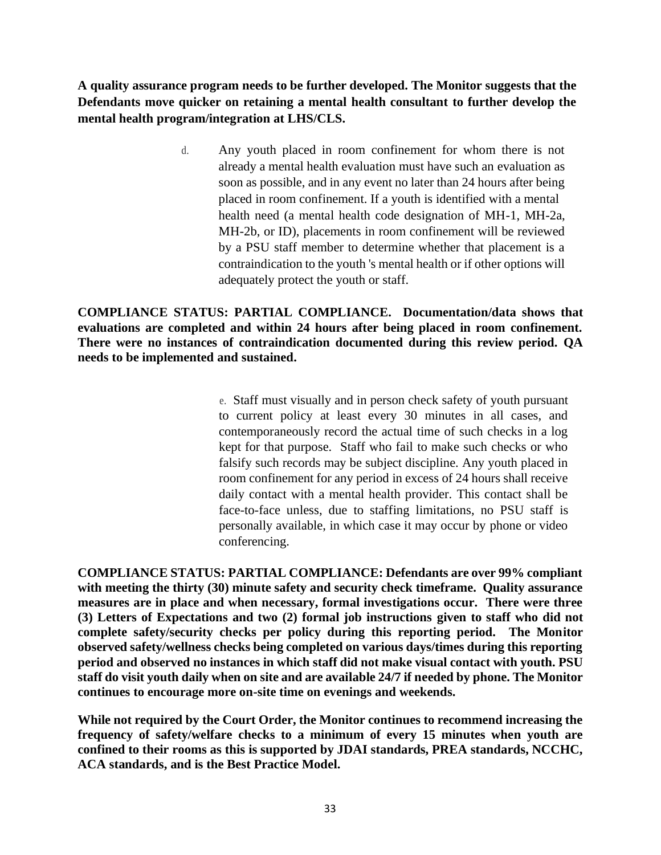**A quality assurance program needs to be further developed. The Monitor suggests that the Defendants move quicker on retaining a mental health consultant to further develop the mental health program/integration at LHS/CLS.** 

> d. Any youth placed in room confinement for whom there is not already a mental health evaluation must have such an evaluation as soon as possible, and in any event no later than 24 hours after being placed in room confinement. If a youth is identified with a mental health need (a mental health code designation of MH-1, MH-2a, MH-2b, or ID), placements in room confinement will be reviewed by a PSU staff member to determine whether that placement is a contraindication to the youth 's mental health or if other options will adequately protect the youth or staff.

**COMPLIANCE STATUS: PARTIAL COMPLIANCE. Documentation/data shows that evaluations are completed and within 24 hours after being placed in room confinement. There were no instances of contraindication documented during this review period. QA needs to be implemented and sustained.** 

> e. Staff must visually and in person check safety of youth pursuant to current policy at least every 30 minutes in all cases, and contemporaneously record the actual time of such checks in a log kept for that purpose. Staff who fail to make such checks or who falsify such records may be subject discipline. Any youth placed in room confinement for any period in excess of 24 hours shall receive daily contact with a mental health provider. This contact shall be face-to-face unless, due to staffing limitations, no PSU staff is personally available, in which case it may occur by phone or video conferencing.

**COMPLIANCE STATUS: PARTIAL COMPLIANCE: Defendants are over 99% compliant with meeting the thirty (30) minute safety and security check timeframe. Quality assurance measures are in place and when necessary, formal investigations occur. There were three (3) Letters of Expectations and two (2) formal job instructions given to staff who did not complete safety/security checks per policy during this reporting period. The Monitor observed safety/wellness checks being completed on various days/times during this reporting period and observed no instances in which staff did not make visual contact with youth. PSU staff do visit youth daily when on site and are available 24/7 if needed by phone. The Monitor continues to encourage more on-site time on evenings and weekends.** 

**While not required by the Court Order, the Monitor continues to recommend increasing the frequency of safety/welfare checks to a minimum of every 15 minutes when youth are confined to their rooms as this is supported by JDAI standards, PREA standards, NCCHC, ACA standards, and is the Best Practice Model.**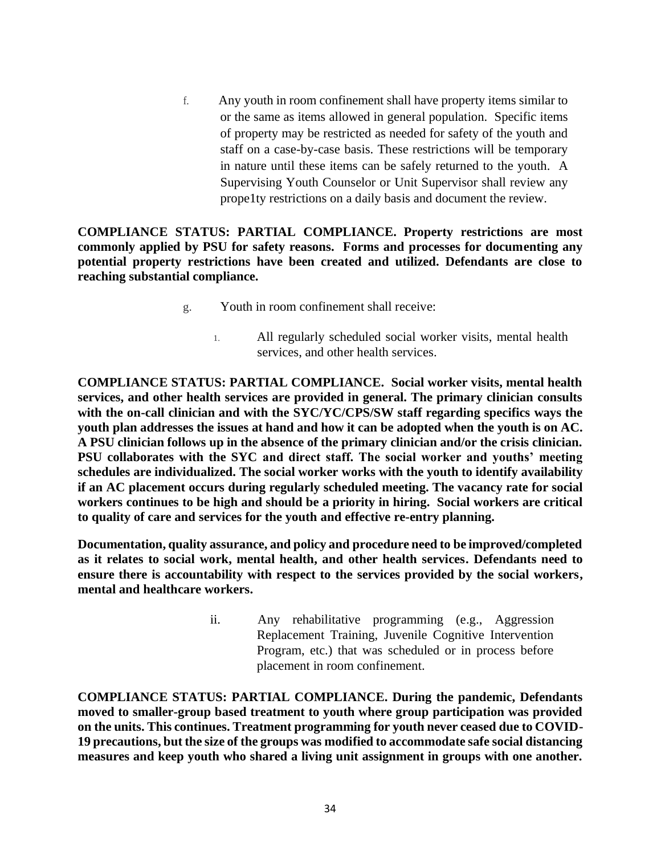f. Any youth in room confinement shall have property items similar to or the same as items allowed in general population. Specific items of property may be restricted as needed for safety of the youth and staff on a case-by-case basis. These restrictions will be temporary in nature until these items can be safely returned to the youth. A Supervising Youth Counselor or Unit Supervisor shall review any prope1ty restrictions on a daily basis and document the review.

**COMPLIANCE STATUS: PARTIAL COMPLIANCE. Property restrictions are most commonly applied by PSU for safety reasons. Forms and processes for documenting any potential property restrictions have been created and utilized. Defendants are close to reaching substantial compliance.**

- g. Youth in room confinement shall receive:
	- 1. All regularly scheduled social worker visits, mental health services, and other health services.

**COMPLIANCE STATUS: PARTIAL COMPLIANCE. Social worker visits, mental health services, and other health services are provided in general. The primary clinician consults with the on-call clinician and with the SYC/YC/CPS/SW staff regarding specifics ways the youth plan addresses the issues at hand and how it can be adopted when the youth is on AC. A PSU clinician follows up in the absence of the primary clinician and/or the crisis clinician. PSU collaborates with the SYC and direct staff. The social worker and youths' meeting schedules are individualized. The social worker works with the youth to identify availability if an AC placement occurs during regularly scheduled meeting. The vacancy rate for social workers continues to be high and should be a priority in hiring. Social workers are critical to quality of care and services for the youth and effective re-entry planning.** 

**Documentation, quality assurance, and policy and procedure need to be improved/completed as it relates to social work, mental health, and other health services. Defendants need to ensure there is accountability with respect to the services provided by the social workers, mental and healthcare workers.** 

> ii. Any rehabilitative programming (e.g., Aggression Replacement Training, Juvenile Cognitive Intervention Program, etc.) that was scheduled or in process before placement in room confinement.

**COMPLIANCE STATUS: PARTIAL COMPLIANCE. During the pandemic, Defendants moved to smaller-group based treatment to youth where group participation was provided on the units. This continues. Treatment programming for youth never ceased due to COVID-19 precautions, but the size of the groups was modified to accommodate safe social distancing measures and keep youth who shared a living unit assignment in groups with one another.**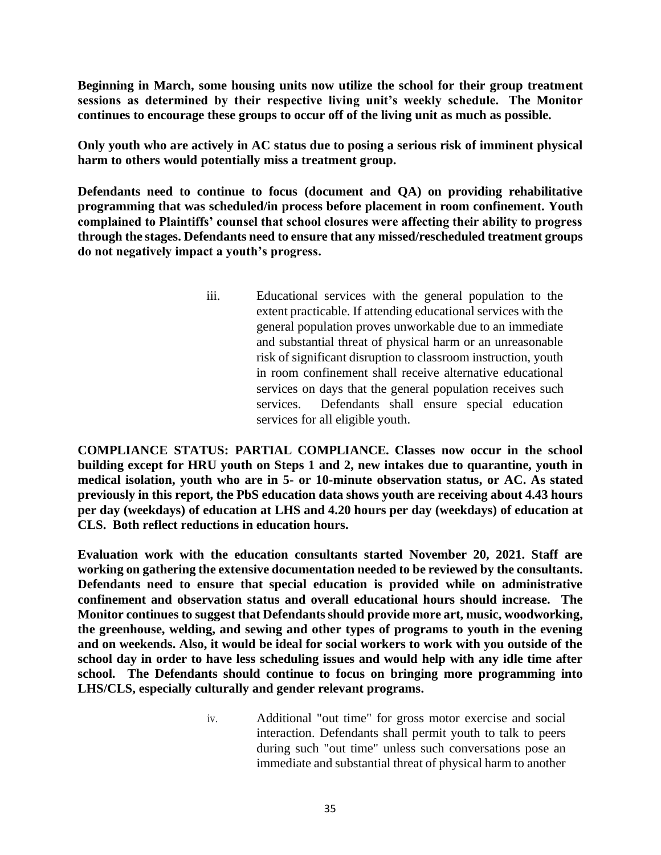**Beginning in March, some housing units now utilize the school for their group treatment sessions as determined by their respective living unit's weekly schedule. The Monitor continues to encourage these groups to occur off of the living unit as much as possible.**

**Only youth who are actively in AC status due to posing a serious risk of imminent physical harm to others would potentially miss a treatment group.** 

**Defendants need to continue to focus (document and QA) on providing rehabilitative programming that was scheduled/in process before placement in room confinement. Youth complained to Plaintiffs' counsel that school closures were affecting their ability to progress through the stages. Defendants need to ensure that any missed/rescheduled treatment groups do not negatively impact a youth's progress.**

> iii. Educational services with the general population to the extent practicable. If attending educational services with the general population proves unworkable due to an immediate and substantial threat of physical harm or an unreasonable risk of significant disruption to classroom instruction, youth in room confinement shall receive alternative educational services on days that the general population receives such services. Defendants shall ensure special education services for all eligible youth.

**COMPLIANCE STATUS: PARTIAL COMPLIANCE. Classes now occur in the school building except for HRU youth on Steps 1 and 2, new intakes due to quarantine, youth in medical isolation, youth who are in 5- or 10-minute observation status, or AC. As stated previously in this report, the PbS education data shows youth are receiving about 4.43 hours per day (weekdays) of education at LHS and 4.20 hours per day (weekdays) of education at CLS. Both reflect reductions in education hours.** 

**Evaluation work with the education consultants started November 20, 2021. Staff are working on gathering the extensive documentation needed to be reviewed by the consultants. Defendants need to ensure that special education is provided while on administrative confinement and observation status and overall educational hours should increase. The Monitor continues to suggest that Defendants should provide more art, music, woodworking, the greenhouse, welding, and sewing and other types of programs to youth in the evening and on weekends. Also, it would be ideal for social workers to work with you outside of the school day in order to have less scheduling issues and would help with any idle time after school. The Defendants should continue to focus on bringing more programming into LHS/CLS, especially culturally and gender relevant programs.**

> iv. Additional "out time" for gross motor exercise and social interaction. Defendants shall permit youth to talk to peers during such "out time" unless such conversations pose an immediate and substantial threat of physical harm to another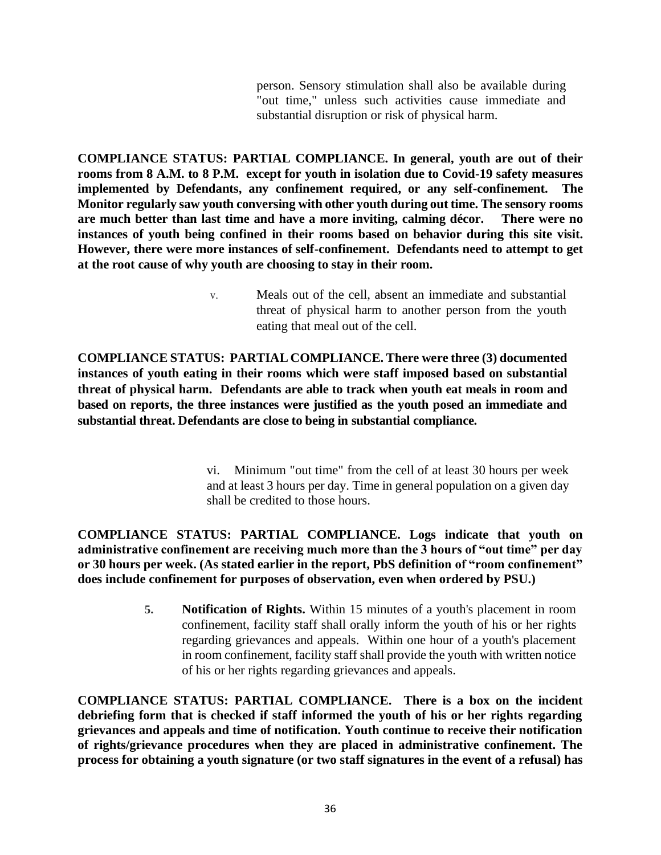person. Sensory stimulation shall also be available during "out time," unless such activities cause immediate and substantial disruption or risk of physical harm.

**COMPLIANCE STATUS: PARTIAL COMPLIANCE. In general, youth are out of their rooms from 8 A.M. to 8 P.M. except for youth in isolation due to Covid-19 safety measures implemented by Defendants, any confinement required, or any self-confinement. The Monitor regularly saw youth conversing with other youth during out time. The sensory rooms are much better than last time and have a more inviting, calming décor. There were no instances of youth being confined in their rooms based on behavior during this site visit. However, there were more instances of self-confinement. Defendants need to attempt to get at the root cause of why youth are choosing to stay in their room.** 

> v. Meals out of the cell, absent an immediate and substantial threat of physical harm to another person from the youth eating that meal out of the cell.

**COMPLIANCE STATUS: PARTIAL COMPLIANCE. There were three (3) documented instances of youth eating in their rooms which were staff imposed based on substantial threat of physical harm. Defendants are able to track when youth eat meals in room and based on reports, the three instances were justified as the youth posed an immediate and substantial threat. Defendants are close to being in substantial compliance.** 

> vi. Minimum "out time" from the cell of at least 30 hours per week and at least 3 hours per day. Time in general population on a given day shall be credited to those hours.

**COMPLIANCE STATUS: PARTIAL COMPLIANCE. Logs indicate that youth on administrative confinement are receiving much more than the 3 hours of "out time" per day or 30 hours per week. (As stated earlier in the report, PbS definition of "room confinement" does include confinement for purposes of observation, even when ordered by PSU.)** 

> **5. Notification of Rights.** Within 15 minutes of a youth's placement in room confinement, facility staff shall orally inform the youth of his or her rights regarding grievances and appeals. Within one hour of a youth's placement in room confinement, facility staff shall provide the youth with written notice of his or her rights regarding grievances and appeals.

**COMPLIANCE STATUS: PARTIAL COMPLIANCE. There is a box on the incident debriefing form that is checked if staff informed the youth of his or her rights regarding grievances and appeals and time of notification. Youth continue to receive their notification of rights/grievance procedures when they are placed in administrative confinement. The process for obtaining a youth signature (or two staff signatures in the event of a refusal) has**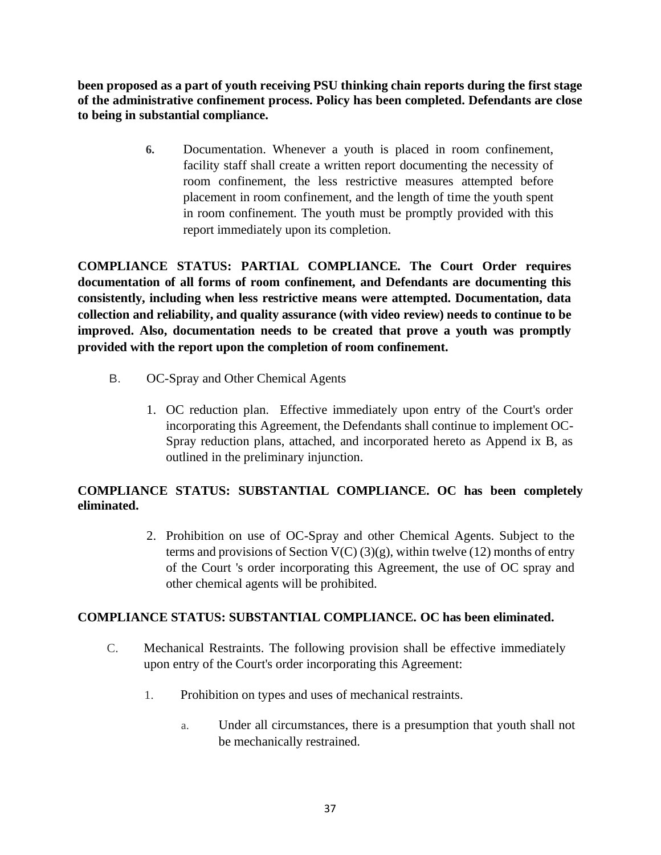**been proposed as a part of youth receiving PSU thinking chain reports during the first stage of the administrative confinement process. Policy has been completed. Defendants are close to being in substantial compliance.**

> **6.** Documentation. Whenever a youth is placed in room confinement, facility staff shall create a written report documenting the necessity of room confinement, the less restrictive measures attempted before placement in room confinement, and the length of time the youth spent in room confinement. The youth must be promptly provided with this report immediately upon its completion.

**COMPLIANCE STATUS: PARTIAL COMPLIANCE. The Court Order requires documentation of all forms of room confinement, and Defendants are documenting this consistently, including when less restrictive means were attempted. Documentation, data collection and reliability, and quality assurance (with video review) needs to continue to be improved. Also, documentation needs to be created that prove a youth was promptly provided with the report upon the completion of room confinement.** 

- B. OC-Spray and Other Chemical Agents
	- 1. OC reduction plan. Effective immediately upon entry of the Court's order incorporating this Agreement, the Defendants shall continue to implement OC-Spray reduction plans, attached, and incorporated hereto as Append ix B, as outlined in the preliminary injunction.

# **COMPLIANCE STATUS: SUBSTANTIAL COMPLIANCE. OC has been completely eliminated.**

2. Prohibition on use of OC-Spray and other Chemical Agents. Subject to the terms and provisions of Section  $V(C)$  (3)(g), within twelve (12) months of entry of the Court 's order incorporating this Agreement, the use of OC spray and other chemical agents will be prohibited.

# **COMPLIANCE STATUS: SUBSTANTIAL COMPLIANCE. OC has been eliminated.**

- C. Mechanical Restraints. The following provision shall be effective immediately upon entry of the Court's order incorporating this Agreement:
	- 1. Prohibition on types and uses of mechanical restraints.
		- a. Under all circumstances, there is a presumption that youth shall not be mechanically restrained.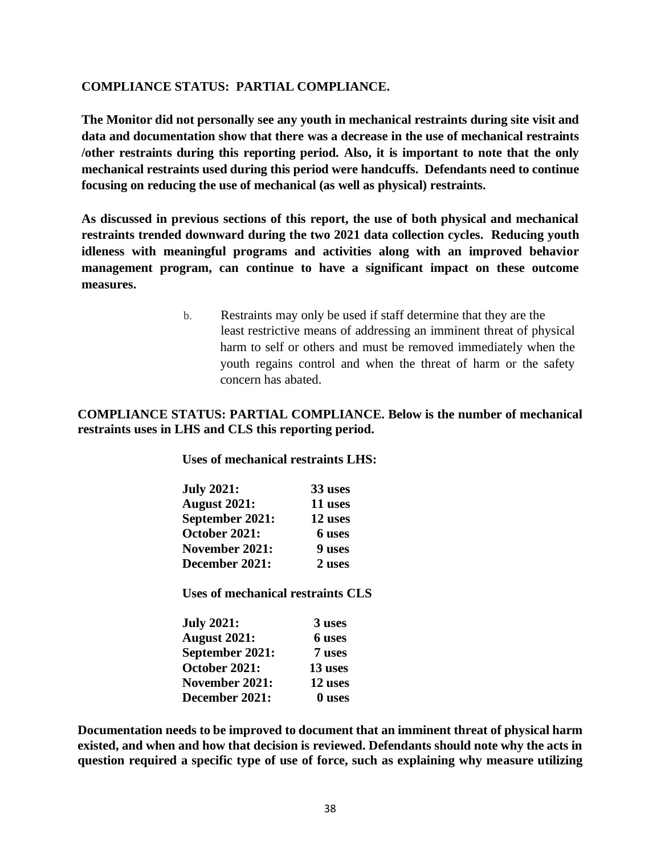### **COMPLIANCE STATUS: PARTIAL COMPLIANCE.**

**The Monitor did not personally see any youth in mechanical restraints during site visit and data and documentation show that there was a decrease in the use of mechanical restraints /other restraints during this reporting period. Also, it is important to note that the only mechanical restraints used during this period were handcuffs. Defendants need to continue focusing on reducing the use of mechanical (as well as physical) restraints.** 

**As discussed in previous sections of this report, the use of both physical and mechanical restraints trended downward during the two 2021 data collection cycles. Reducing youth idleness with meaningful programs and activities along with an improved behavior management program, can continue to have a significant impact on these outcome measures.**

> b. Restraints may only be used if staff determine that they are the least restrictive means of addressing an imminent threat of physical harm to self or others and must be removed immediately when the youth regains control and when the threat of harm or the safety concern has abated.

### **COMPLIANCE STATUS: PARTIAL COMPLIANCE. Below is the number of mechanical restraints uses in LHS and CLS this reporting period.**

**Uses of mechanical restraints LHS:**

| <b>July 2021:</b>   | 33 uses |
|---------------------|---------|
| <b>August 2021:</b> | 11 uses |
| September 2021:     | 12 uses |
| October 2021:       | 6 uses  |
| November 2021:      | 9 uses  |
| December 2021:      | 2 uses  |

**Uses of mechanical restraints CLS**

| <b>July 2021:</b>   | 3 uses  |
|---------------------|---------|
| <b>August 2021:</b> | 6 uses  |
| September 2021:     | 7 uses  |
| October 2021:       | 13 uses |
| November 2021:      | 12 uses |
| December 2021:      | 0 uses  |

**Documentation needs to be improved to document that an imminent threat of physical harm existed, and when and how that decision is reviewed. Defendants should note why the acts in question required a specific type of use of force, such as explaining why measure utilizing**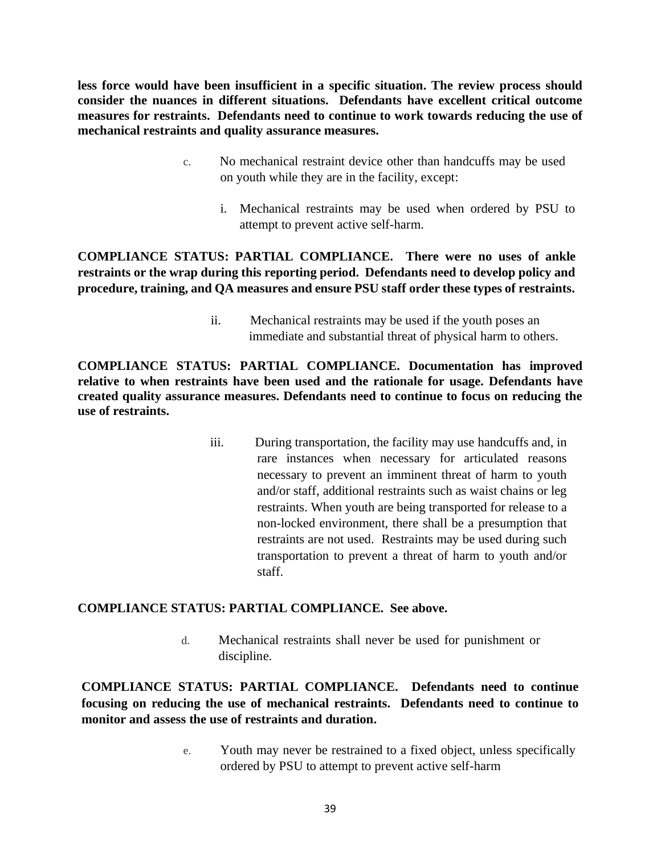**less force would have been insufficient in a specific situation. The review process should consider the nuances in different situations. Defendants have excellent critical outcome measures for restraints. Defendants need to continue to work towards reducing the use of mechanical restraints and quality assurance measures.**

- c. No mechanical restraint device other than handcuffs may be used on youth while they are in the facility, except:
	- i. Mechanical restraints may be used when ordered by PSU to attempt to prevent active self-harm.

**COMPLIANCE STATUS: PARTIAL COMPLIANCE. There were no uses of ankle restraints or the wrap during this reporting period. Defendants need to develop policy and procedure, training, and QA measures and ensure PSU staff order these types of restraints.** 

> ii. Mechanical restraints may be used if the youth poses an immediate and substantial threat of physical harm to others.

**COMPLIANCE STATUS: PARTIAL COMPLIANCE. Documentation has improved relative to when restraints have been used and the rationale for usage. Defendants have created quality assurance measures. Defendants need to continue to focus on reducing the use of restraints.** 

> iii. During transportation, the facility may use handcuffs and, in rare instances when necessary for articulated reasons necessary to prevent an imminent threat of harm to youth and/or staff, additional restraints such as waist chains or leg restraints. When youth are being transported for release to a non-locked environment, there shall be a presumption that restraints are not used. Restraints may be used during such transportation to prevent a threat of harm to youth and/or staff.

### **COMPLIANCE STATUS: PARTIAL COMPLIANCE. See above.**

d. Mechanical restraints shall never be used for punishment or discipline.

**COMPLIANCE STATUS: PARTIAL COMPLIANCE. Defendants need to continue focusing on reducing the use of mechanical restraints. Defendants need to continue to monitor and assess the use of restraints and duration.** 

> e. Youth may never be restrained to a fixed object, unless specifically ordered by PSU to attempt to prevent active self-harm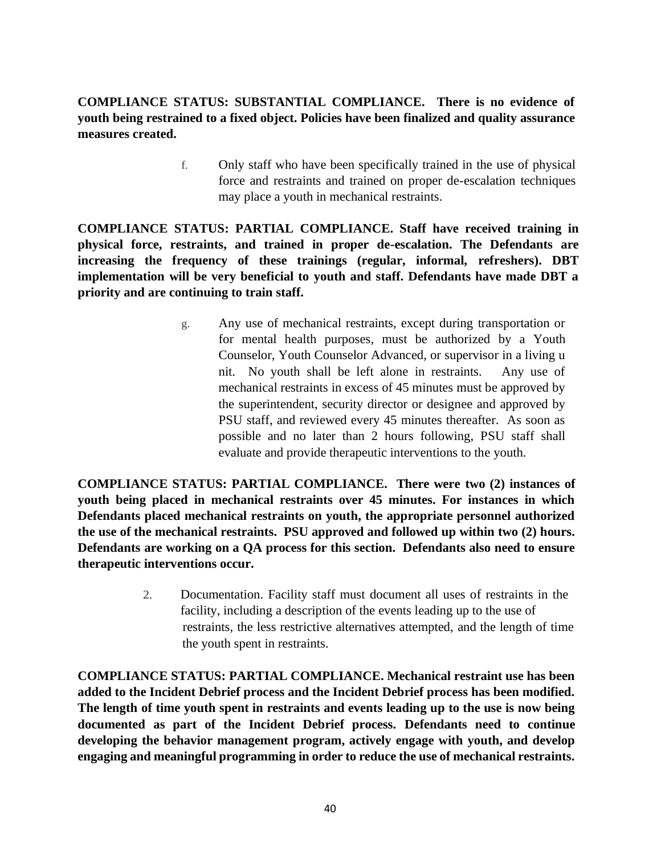# **COMPLIANCE STATUS: SUBSTANTIAL COMPLIANCE. There is no evidence of youth being restrained to a fixed object. Policies have been finalized and quality assurance measures created.**

f. Only staff who have been specifically trained in the use of physical force and restraints and trained on proper de-escalation techniques may place a youth in mechanical restraints.

**COMPLIANCE STATUS: PARTIAL COMPLIANCE. Staff have received training in physical force, restraints, and trained in proper de-escalation. The Defendants are increasing the frequency of these trainings (regular, informal, refreshers). DBT implementation will be very beneficial to youth and staff. Defendants have made DBT a priority and are continuing to train staff.**

> g. Any use of mechanical restraints, except during transportation or for mental health purposes, must be authorized by a Youth Counselor, Youth Counselor Advanced, or supervisor in a living u nit. No youth shall be left alone in restraints. Any use of mechanical restraints in excess of 45 minutes must be approved by the superintendent, security director or designee and approved by PSU staff, and reviewed every 45 minutes thereafter. As soon as possible and no later than 2 hours following, PSU staff shall evaluate and provide therapeutic interventions to the youth.

**COMPLIANCE STATUS: PARTIAL COMPLIANCE. There were two (2) instances of youth being placed in mechanical restraints over 45 minutes. For instances in which Defendants placed mechanical restraints on youth, the appropriate personnel authorized the use of the mechanical restraints. PSU approved and followed up within two (2) hours. Defendants are working on a QA process for this section. Defendants also need to ensure therapeutic interventions occur.** 

> 2. Documentation. Facility staff must document all uses of restraints in the facility, including a description of the events leading up to the use of restraints, the less restrictive alternatives attempted, and the length of time the youth spent in restraints.

**COMPLIANCE STATUS: PARTIAL COMPLIANCE. Mechanical restraint use has been added to the Incident Debrief process and the Incident Debrief process has been modified. The length of time youth spent in restraints and events leading up to the use is now being documented as part of the Incident Debrief process. Defendants need to continue developing the behavior management program, actively engage with youth, and develop engaging and meaningful programming in order to reduce the use of mechanical restraints.**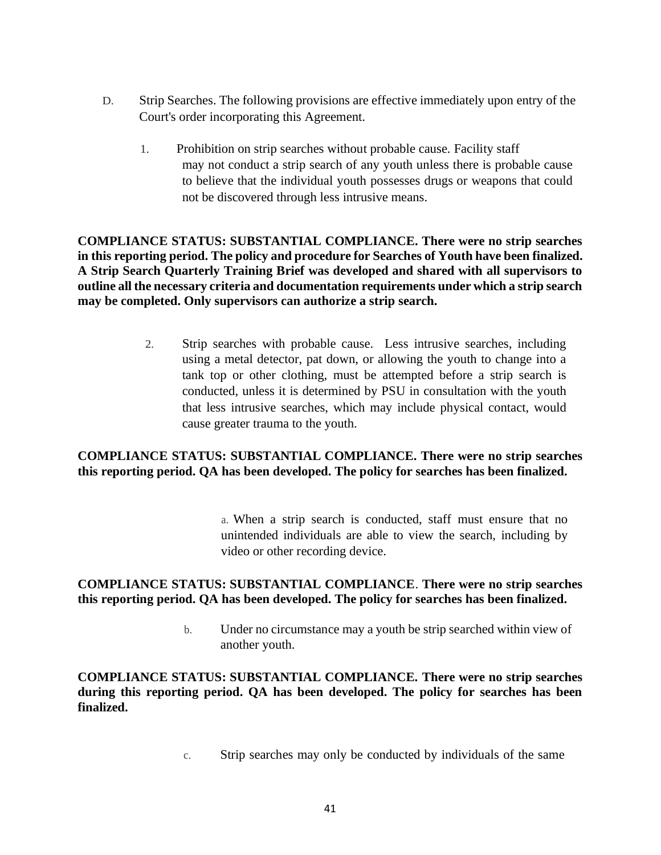- D. Strip Searches. The following provisions are effective immediately upon entry of the Court's order incorporating this Agreement.
	- 1. Prohibition on strip searches without probable cause. Facility staff may not conduct a strip search of any youth unless there is probable cause to believe that the individual youth possesses drugs or weapons that could not be discovered through less intrusive means.

**COMPLIANCE STATUS: SUBSTANTIAL COMPLIANCE. There were no strip searches in this reporting period. The policy and procedure for Searches of Youth have been finalized. A Strip Search Quarterly Training Brief was developed and shared with all supervisors to outline all the necessary criteria and documentation requirements under which a strip search may be completed. Only supervisors can authorize a strip search.** 

> 2. Strip searches with probable cause. Less intrusive searches, including using a metal detector, pat down, or allowing the youth to change into a tank top or other clothing, must be attempted before a strip search is conducted, unless it is determined by PSU in consultation with the youth that less intrusive searches, which may include physical contact, would cause greater trauma to the youth.

# **COMPLIANCE STATUS: SUBSTANTIAL COMPLIANCE. There were no strip searches this reporting period. QA has been developed. The policy for searches has been finalized.**

a. When a strip search is conducted, staff must ensure that no unintended individuals are able to view the search, including by video or other recording device.

### **COMPLIANCE STATUS: SUBSTANTIAL COMPLIANCE**. **There were no strip searches this reporting period. QA has been developed. The policy for searches has been finalized.**

b. Under no circumstance may a youth be strip searched within view of another youth.

**COMPLIANCE STATUS: SUBSTANTIAL COMPLIANCE. There were no strip searches during this reporting period. QA has been developed. The policy for searches has been finalized.** 

c. Strip searches may only be conducted by individuals of the same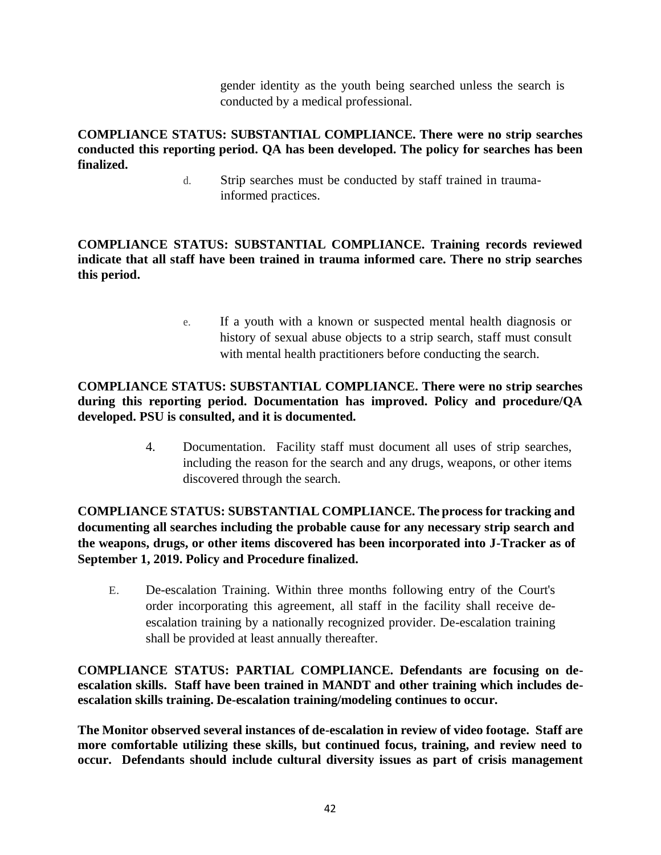gender identity as the youth being searched unless the search is conducted by a medical professional.

**COMPLIANCE STATUS: SUBSTANTIAL COMPLIANCE. There were no strip searches conducted this reporting period. QA has been developed. The policy for searches has been finalized.** 

d. Strip searches must be conducted by staff trained in traumainformed practices.

**COMPLIANCE STATUS: SUBSTANTIAL COMPLIANCE. Training records reviewed indicate that all staff have been trained in trauma informed care. There no strip searches this period.** 

> e. If a youth with a known or suspected mental health diagnosis or history of sexual abuse objects to a strip search, staff must consult with mental health practitioners before conducting the search.

# **COMPLIANCE STATUS: SUBSTANTIAL COMPLIANCE. There were no strip searches during this reporting period. Documentation has improved. Policy and procedure/QA developed. PSU is consulted, and it is documented.**

4. Documentation. Facility staff must document all uses of strip searches, including the reason for the search and any drugs, weapons, or other items discovered through the search.

**COMPLIANCE STATUS: SUBSTANTIAL COMPLIANCE. The process for tracking and documenting all searches including the probable cause for any necessary strip search and the weapons, drugs, or other items discovered has been incorporated into J-Tracker as of September 1, 2019. Policy and Procedure finalized.**

E. De-escalation Training. Within three months following entry of the Court's order incorporating this agreement, all staff in the facility shall receive deescalation training by a nationally recognized provider. De-escalation training shall be provided at least annually thereafter.

**COMPLIANCE STATUS: PARTIAL COMPLIANCE. Defendants are focusing on deescalation skills. Staff have been trained in MANDT and other training which includes deescalation skills training. De-escalation training/modeling continues to occur.**

**The Monitor observed several instances of de-escalation in review of video footage. Staff are more comfortable utilizing these skills, but continued focus, training, and review need to occur. Defendants should include cultural diversity issues as part of crisis management**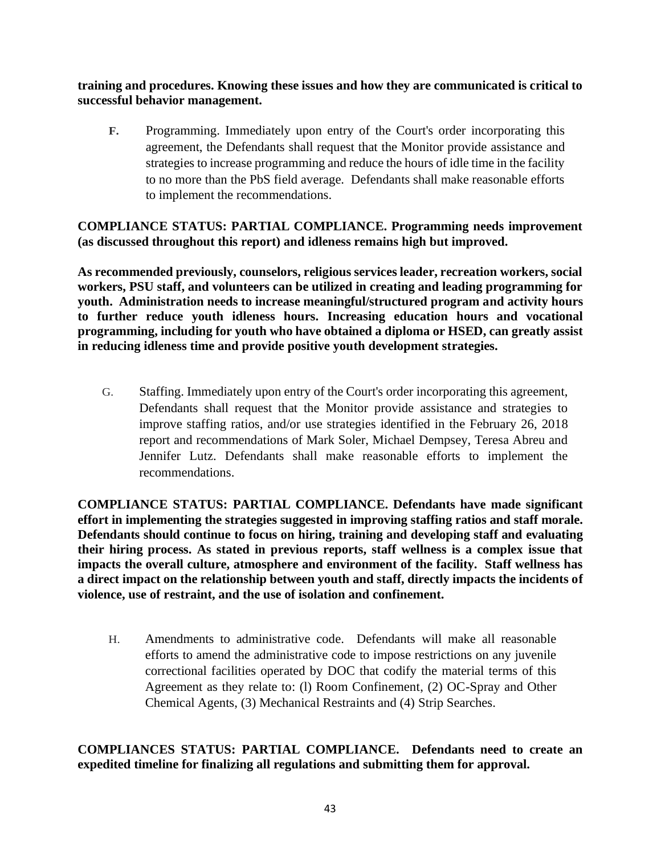**training and procedures. Knowing these issues and how they are communicated is critical to successful behavior management.** 

**F.** Programming. Immediately upon entry of the Court's order incorporating this agreement, the Defendants shall request that the Monitor provide assistance and strategies to increase programming and reduce the hours of idle time in the facility to no more than the PbS field average. Defendants shall make reasonable efforts to implement the recommendations.

# **COMPLIANCE STATUS: PARTIAL COMPLIANCE. Programming needs improvement (as discussed throughout this report) and idleness remains high but improved.**

**As recommended previously, counselors, religious services leader, recreation workers, social workers, PSU staff, and volunteers can be utilized in creating and leading programming for youth. Administration needs to increase meaningful/structured program and activity hours to further reduce youth idleness hours. Increasing education hours and vocational programming, including for youth who have obtained a diploma or HSED, can greatly assist in reducing idleness time and provide positive youth development strategies.** 

G. Staffing. Immediately upon entry of the Court's order incorporating this agreement, Defendants shall request that the Monitor provide assistance and strategies to improve staffing ratios, and/or use strategies identified in the February 26, 2018 report and recommendations of Mark Soler, Michael Dempsey, Teresa Abreu and Jennifer Lutz. Defendants shall make reasonable efforts to implement the recommendations.

**COMPLIANCE STATUS: PARTIAL COMPLIANCE. Defendants have made significant effort in implementing the strategies suggested in improving staffing ratios and staff morale. Defendants should continue to focus on hiring, training and developing staff and evaluating their hiring process. As stated in previous reports, staff wellness is a complex issue that impacts the overall culture, atmosphere and environment of the facility. Staff wellness has a direct impact on the relationship between youth and staff, directly impacts the incidents of violence, use of restraint, and the use of isolation and confinement.** 

H. Amendments to administrative code. Defendants will make all reasonable efforts to amend the administrative code to impose restrictions on any juvenile correctional facilities operated by DOC that codify the material terms of this Agreement as they relate to: (l) Room Confinement, (2) OC-Spray and Other Chemical Agents, (3) Mechanical Restraints and (4) Strip Searches.

# **COMPLIANCES STATUS: PARTIAL COMPLIANCE. Defendants need to create an expedited timeline for finalizing all regulations and submitting them for approval.**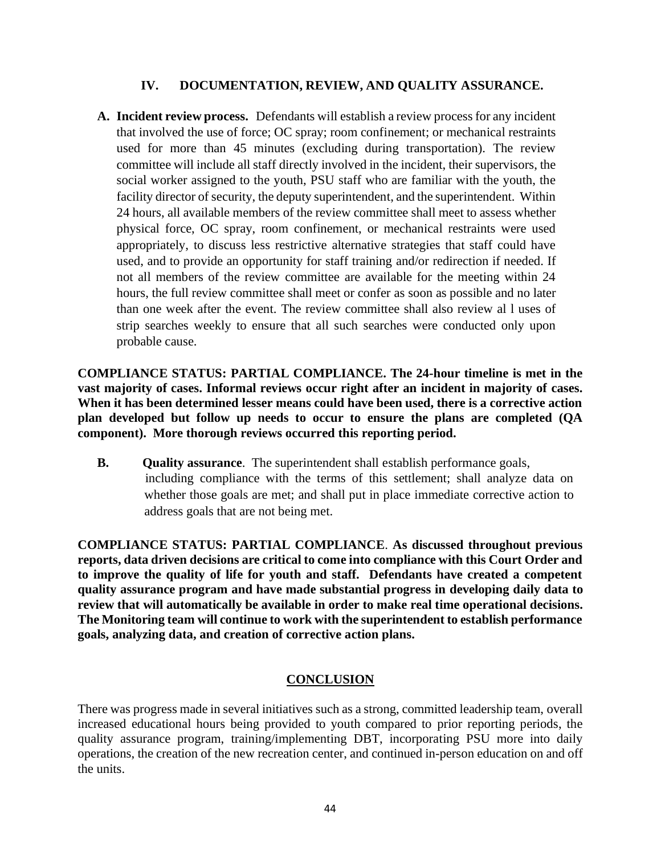### **IV. DOCUMENTATION, REVIEW, AND QUALITY ASSURANCE.**

**A. Incident review process.** Defendants will establish a review process for any incident that involved the use of force; OC spray; room confinement; or mechanical restraints used for more than 45 minutes (excluding during transportation). The review committee will include all staff directly involved in the incident, their supervisors, the social worker assigned to the youth, PSU staff who are familiar with the youth, the facility director of security, the deputy superintendent, and the superintendent. Within 24 hours, all available members of the review committee shall meet to assess whether physical force, OC spray, room confinement, or mechanical restraints were used appropriately, to discuss less restrictive alternative strategies that staff could have used, and to provide an opportunity for staff training and/or redirection if needed. If not all members of the review committee are available for the meeting within 24 hours, the full review committee shall meet or confer as soon as possible and no later than one week after the event. The review committee shall also review al l uses of strip searches weekly to ensure that all such searches were conducted only upon probable cause.

**COMPLIANCE STATUS: PARTIAL COMPLIANCE. The 24-hour timeline is met in the vast majority of cases. Informal reviews occur right after an incident in majority of cases. When it has been determined lesser means could have been used, there is a corrective action plan developed but follow up needs to occur to ensure the plans are completed (QA component). More thorough reviews occurred this reporting period.**

**B. Quality assurance**. The superintendent shall establish performance goals, including compliance with the terms of this settlement; shall analyze data on whether those goals are met; and shall put in place immediate corrective action to address goals that are not being met.

**COMPLIANCE STATUS: PARTIAL COMPLIANCE**. **As discussed throughout previous reports, data driven decisions are critical to come into compliance with this Court Order and to improve the quality of life for youth and staff. Defendants have created a competent quality assurance program and have made substantial progress in developing daily data to review that will automatically be available in order to make real time operational decisions. The Monitoring team will continue to work with the superintendent to establish performance goals, analyzing data, and creation of corrective action plans.**

# **CONCLUSION**

There was progress made in several initiatives such as a strong, committed leadership team, overall increased educational hours being provided to youth compared to prior reporting periods, the quality assurance program, training/implementing DBT, incorporating PSU more into daily operations, the creation of the new recreation center, and continued in-person education on and off the units.